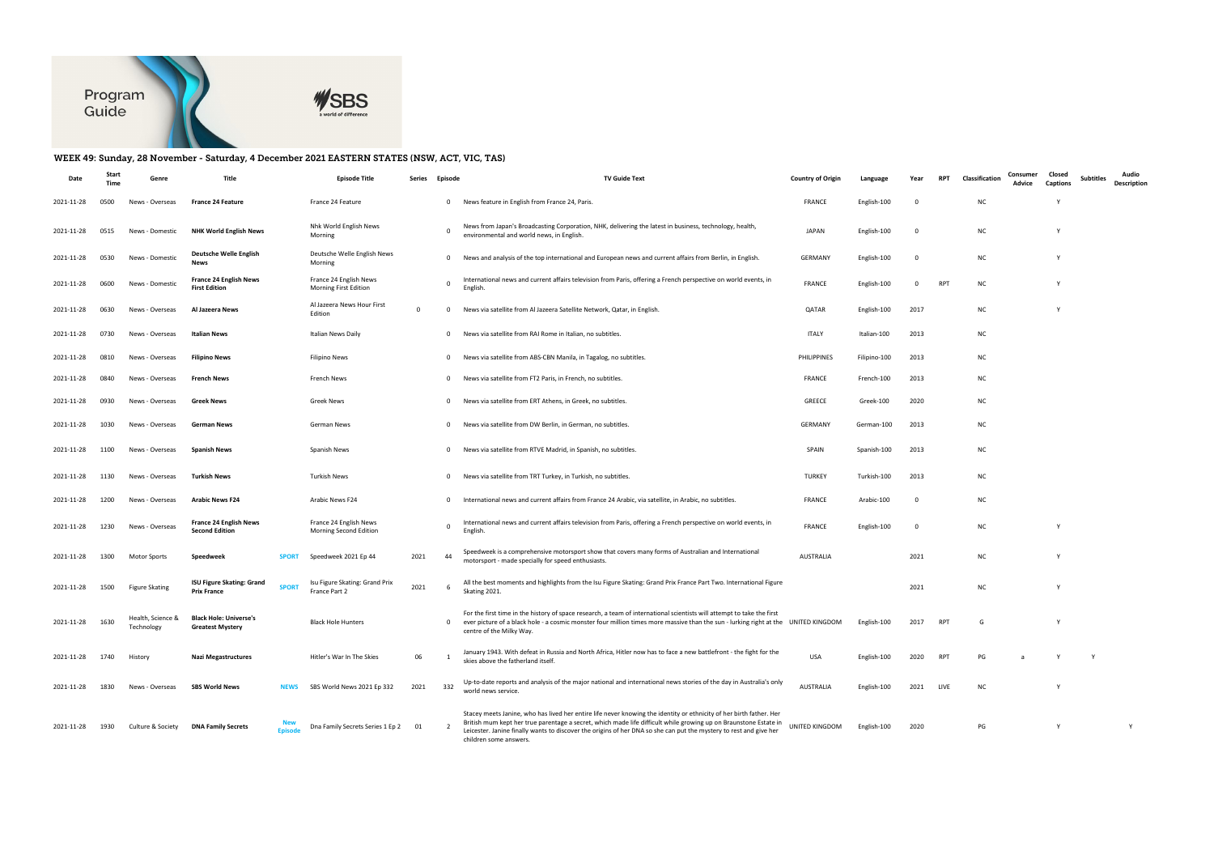

## WEEK 49: Sunday, 28 November - Saturday, 4 December 2021 EASTERN STATES (NSW, ACT, VIC, TAS)

| Date       | Time | Genre                           | Title                                                                  | <b>Episode Title</b>                             | Series     | Episode      | <b>TV Guide Text</b>                                                                                                                                                                                                                                                                                                                                                                    | <b>Country of Origin</b> | Language     | Year | <b>RPT</b> | Classification | Consumer<br>Advice | Closed<br><b>Captions</b> | <b>Subtitles</b> | Audio<br>Description |
|------------|------|---------------------------------|------------------------------------------------------------------------|--------------------------------------------------|------------|--------------|-----------------------------------------------------------------------------------------------------------------------------------------------------------------------------------------------------------------------------------------------------------------------------------------------------------------------------------------------------------------------------------------|--------------------------|--------------|------|------------|----------------|--------------------|---------------------------|------------------|----------------------|
| 2021-11-28 | 0500 | News - Overseas                 | <b>France 24 Feature</b>                                               | France 24 Feature                                |            | $\mathbf 0$  | News feature in English from France 24, Paris.                                                                                                                                                                                                                                                                                                                                          | <b>FRANCE</b>            | English-100  |      |            | NC             |                    |                           |                  |                      |
| 2021-11-28 | 0515 | News - Domestic                 | <b>NHK World English News</b>                                          | Nhk World English News<br>Morning                |            | $\Omega$     | News from Japan's Broadcasting Corporation, NHK, delivering the latest in business, technology, health,<br>environmental and world news, in English.                                                                                                                                                                                                                                    | <b>JAPAN</b>             | English-100  | - 0  |            | <b>NC</b>      |                    |                           |                  |                      |
| 2021-11-28 | 0530 | News - Domestic                 | <b>Deutsche Welle English</b><br>News                                  | Deutsche Welle English News<br>Morning           |            | $\mathbf{0}$ | News and analysis of the top international and European news and current affairs from Berlin, in English.                                                                                                                                                                                                                                                                               | GERMANY                  | English-100  | - 0  |            | NC             |                    |                           |                  |                      |
| 2021-11-28 | 0600 | News - Domestic                 | <b>France 24 English News</b><br><b>First Edition</b>                  | France 24 English News<br>Morning First Edition  |            | $\mathbf{0}$ | International news and current affairs television from Paris, offering a French perspective on world events, in<br>English                                                                                                                                                                                                                                                              | <b>FRANCE</b>            | English-100  | 0    | <b>RPT</b> | NC             |                    |                           |                  |                      |
| 2021-11-28 | 0630 | News - Overseas                 | Al Jazeera News                                                        | Al Jazeera News Hour First<br>Edition            | $^{\circ}$ | $\mathbf 0$  | News via satellite from Al Jazeera Satellite Network, Qatar, in English.                                                                                                                                                                                                                                                                                                                | QATAR                    | English-100  | 2017 |            | NC             |                    |                           |                  |                      |
| 2021-11-28 | 0730 | News - Overseas                 | Italian News                                                           | Italian News Daily                               |            | $\mathbf 0$  | News via satellite from RAI Rome in Italian, no subtitles.                                                                                                                                                                                                                                                                                                                              | ITALY                    | Italian-100  | 2013 |            | NC             |                    |                           |                  |                      |
| 2021-11-28 | 0810 | News - Overseas                 | <b>Filipino News</b>                                                   | Filipino News                                    |            | $\mathbf{0}$ | News via satellite from ABS-CBN Manila, in Tagalog, no subtitles.                                                                                                                                                                                                                                                                                                                       | PHILIPPINES              | Filipino-100 | 2013 |            | NC             |                    |                           |                  |                      |
| 2021-11-28 | 0840 | News - Overseas                 | French News                                                            | French News                                      |            | $\mathbf{0}$ | News via satellite from FT2 Paris, in French, no subtitles.                                                                                                                                                                                                                                                                                                                             | FRANCE                   | French-100   | 2013 |            | NC             |                    |                           |                  |                      |
| 2021-11-28 | 0930 | News - Overseas                 | Greek News                                                             | <b>Greek News</b>                                |            | $\mathbf 0$  | News via satellite from ERT Athens, in Greek, no subtitles.                                                                                                                                                                                                                                                                                                                             | <b>GREECE</b>            | Greek-100    | 2020 |            | NC             |                    |                           |                  |                      |
| 2021-11-28 | 1030 | News - Overseas                 | German News                                                            | German News                                      |            | $\mathbf{0}$ | News via satellite from DW Berlin, in German, no subtitles.                                                                                                                                                                                                                                                                                                                             | GERMANY                  | German-100   | 2013 |            | NC             |                    |                           |                  |                      |
| 2021-11-28 | 1100 | News - Overseas                 | <b>Spanish News</b>                                                    | Spanish News                                     |            | $\mathbf{0}$ | News via satellite from RTVE Madrid, in Spanish, no subtitles.                                                                                                                                                                                                                                                                                                                          | SPAIN                    | Spanish-100  | 2013 |            | <b>NC</b>      |                    |                           |                  |                      |
| 2021-11-28 | 1130 | News - Overseas                 | Turkish News                                                           | Turkish News                                     |            | $\mathbf{0}$ | News via satellite from TRT Turkey, in Turkish, no subtitles.                                                                                                                                                                                                                                                                                                                           | <b>TURKEY</b>            | Turkish-100  | 2013 |            | NC             |                    |                           |                  |                      |
| 2021-11-28 | 1200 | News - Overseas                 | <b>Arabic News F24</b>                                                 | Arabic News F24                                  |            | $\mathbf 0$  | International news and current affairs from France 24 Arabic, via satellite, in Arabic, no subtitles.                                                                                                                                                                                                                                                                                   | <b>FRANCE</b>            | Arabic-100   |      |            | <b>NC</b>      |                    |                           |                  |                      |
| 2021-11-28 | 1230 | News - Overseas                 | <b>France 24 English News</b><br><b>Second Edition</b>                 | France 24 English News<br>Morning Second Edition |            | $\mathbf{0}$ | International news and current affairs television from Paris, offering a French perspective on world events, in<br>English                                                                                                                                                                                                                                                              | FRANCE                   | English-100  | - 0  |            | <b>NC</b>      |                    |                           |                  |                      |
| 2021-11-28 | 1300 | <b>Motor Sports</b>             | Speedweek<br><b>SPORT</b>                                              | Speedweek 2021 Ep 44                             | 2021       | 44           | Speedweek is a comprehensive motorsport show that covers many forms of Australian and International<br>motorsport - made specially for speed enthusiasts.                                                                                                                                                                                                                               | <b>AUSTRALIA</b>         |              | 2021 |            | NC             |                    |                           |                  |                      |
| 2021-11-28 | 1500 | <b>Figure Skating</b>           | <b>ISU Figure Skating: Grand</b><br><b>SPORT</b><br><b>Prix France</b> | Isu Figure Skating: Grand Prix<br>France Part 2  | 2021       | - 6          | All the best moments and highlights from the Isu Figure Skating: Grand Prix France Part Two. International Figure<br>Skating 2021.                                                                                                                                                                                                                                                      |                          |              | 2021 |            | NC             |                    |                           |                  |                      |
| 2021-11-28 | 1630 | Health, Science &<br>Technology | <b>Black Hole: Universe's</b><br><b>Greatest Mystery</b>               | <b>Black Hole Hunters</b>                        |            |              | For the first time in the history of space research, a team of international scientists will attempt to take the first<br>0 ever picture of a black hole - a cosmic monster four million times more massive than the sun - lurking right at the UNITED KINGDOM<br>centre of the Milky Way.                                                                                              |                          | English-100  | 2017 | <b>RPT</b> | G              |                    |                           |                  |                      |
| 2021-11-28 | 1740 | History                         | <b>Nazi Megastructures</b>                                             | Hitler's War In The Skies                        | 06         |              | January 1943. With defeat in Russia and North Africa, Hitler now has to face a new battlefront - the fight for the<br>skies above the fatherland itself.                                                                                                                                                                                                                                | <b>USA</b>               | English-100  | 2020 | <b>RPT</b> | PG             |                    |                           | – Y              |                      |
| 2021-11-28 | 1830 | News - Overseas                 | <b>SBS World News</b><br><b>NEWS</b>                                   | SBS World News 2021 Ep 332                       | 2021       | 332          | Up-to-date reports and analysis of the major national and international news stories of the day in Australia's only<br>world news service.                                                                                                                                                                                                                                              | <b>AUSTRALIA</b>         | English-100  | 2021 | LIVE       | NC             |                    |                           |                  |                      |
| 2021-11-28 | 1930 | Culture & Society               | <b>DNA Family Secrets</b><br><b>Episode</b>                            | Dna Family Secrets Series 1 Ep 2                 | 01         |              | Stacey meets Janine, who has lived her entire life never knowing the identity or ethnicity of her birth father. Her<br>British mum kept her true parentage a secret, which made life difficult while growing up on Braunstone Estate in<br>Leicester. Janine finally wants to discover the origins of her DNA so she can put the mystery to rest and give her<br>children some answers. | UNITED KINGDOM           | English-100  | 2020 |            | PG             |                    |                           |                  |                      |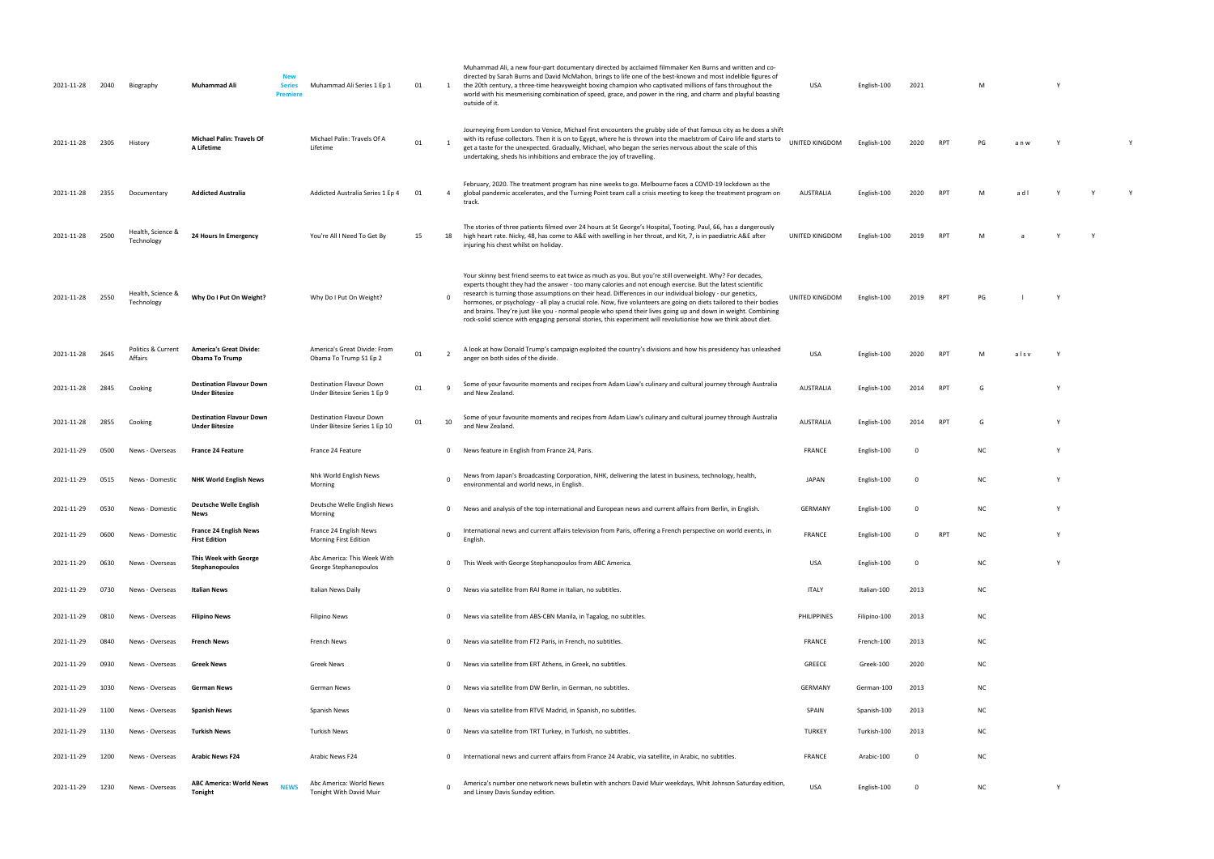| 2021-11-28 | 2040 | Biography                       | New<br>Muhammad Ali<br><b>Series</b><br><b>Premiere</b>         | Muhammad Ali Series 1 Ep 1                                       | 01 | 1              | Muhammad Ali, a new four-part documentary directed by acclaimed filmmaker Ken Burns and written and co-<br>directed by Sarah Burns and David McMahon, brings to life one of the best-known and most indelible figures of<br>the 20th century, a three-time heavyweight boxing champion who captivated millions of fans throughout the<br>world with his mesmerising combination of speed, grace, and power in the ring, and charm and playful boasting<br>outside of it.                                                                                                                                                                                                                         | USA              | English-100  | 2021     |            | M         |       |     |  |
|------------|------|---------------------------------|-----------------------------------------------------------------|------------------------------------------------------------------|----|----------------|--------------------------------------------------------------------------------------------------------------------------------------------------------------------------------------------------------------------------------------------------------------------------------------------------------------------------------------------------------------------------------------------------------------------------------------------------------------------------------------------------------------------------------------------------------------------------------------------------------------------------------------------------------------------------------------------------|------------------|--------------|----------|------------|-----------|-------|-----|--|
| 2021-11-28 | 2305 | History                         | <b>Michael Palin: Travels Of</b><br>A Lifetime                  | Michael Palin: Travels Of A<br>Lifetime                          | 01 |                | Journeying from London to Venice, Michael first encounters the grubby side of that famous city as he does a shift<br>with its refuse collectors. Then it is on to Egypt, where he is thrown into the maelstrom of Cairo life and starts to<br>get a taste for the unexpected. Gradually, Michael, who began the series nervous about the scale of this<br>undertaking, sheds his inhibitions and embrace the joy of travelling.                                                                                                                                                                                                                                                                  | UNITED KINGDOM   | English-100  | 2020     | RPT        | PG        | a n w |     |  |
| 2021-11-28 | 2355 | Documentary                     | <b>Addicted Australia</b>                                       | Addicted Australia Series 1 Ep 4                                 | 01 | 4              | February, 2020. The treatment program has nine weeks to go. Melbourne faces a COVID-19 lockdown as the<br>global pandemic accelerates, and the Turning Point team call a crisis meeting to keep the treatment program on<br>track.                                                                                                                                                                                                                                                                                                                                                                                                                                                               | AUSTRALIA        | English-100  | 2020     | <b>RPT</b> |           | adl   |     |  |
| 2021-11-28 | 2500 | Health, Science &<br>Technology | 24 Hours In Emergency                                           | You're All I Need To Get By                                      | 15 | 18             | The stories of three patients filmed over 24 hours at St George's Hospital, Tooting. Paul, 66, has a dangerously<br>high heart rate. Nicky, 48, has come to A&E with swelling in her throat, and Kit, 7, is in paediatric A&E after<br>injuring his chest whilst on holiday.                                                                                                                                                                                                                                                                                                                                                                                                                     | UNITED KINGDOM   | English-100  | 2019     | <b>RPT</b> | M         |       |     |  |
| 2021-11-28 | 2550 | Health, Science &<br>Technology | Why Do I Put On Weight?                                         | Why Do I Put On Weight?                                          |    | 0              | Your skinny best friend seems to eat twice as much as you. But you're still overweight. Why? For decades,<br>experts thought they had the answer - too many calories and not enough exercise. But the latest scientific<br>research is turning those assumptions on their head. Differences in our individual biology - our genetics,<br>hormones, or psychology - all play a crucial role. Now, five volunteers are going on diets tailored to their bodies<br>and brains. They're just like you - normal people who spend their lives going up and down in weight. Combining<br>rock-solid science with engaging personal stories, this experiment will revolutionise how we think about diet. | UNITED KINGDOM   | English-100  | 2019     | <b>RPT</b> | PG        |       |     |  |
| 2021-11-28 | 2645 | Politics & Current<br>Affairs   | <b>America's Great Divide:</b><br><b>Obama To Trump</b>         | America's Great Divide: From<br>Obama To Trump S1 Ep 2           | 01 |                | A look at how Donald Trump's campaign exploited the country's divisions and how his presidency has unleashed<br>anger on both sides of the divide.                                                                                                                                                                                                                                                                                                                                                                                                                                                                                                                                               | USA              | English-100  | 2020     | <b>RPT</b> |           | alsv  |     |  |
| 2021-11-28 | 2845 | Cooking                         | <b>Destination Flavour Down</b><br><b>Under Bitesize</b>        | Destination Flavour Down<br>Under Bitesize Series 1 Ep 9         | 01 | -9             | Some of your favourite moments and recipes from Adam Liaw's culinary and cultural journey through Australia<br>and New Zealand.                                                                                                                                                                                                                                                                                                                                                                                                                                                                                                                                                                  | <b>AUSTRALIA</b> | English-100  | 2014     | <b>RPT</b> |           |       |     |  |
| 2021-11-28 | 2855 | Cooking                         | <b>Destination Flavour Down</b><br><b>Under Bitesize</b>        | <b>Destination Flavour Down</b><br>Under Bitesize Series 1 Ep 10 | 01 | 10             | Some of your favourite moments and recipes from Adam Liaw's culinary and cultural journey through Australia<br>and New Zealand.                                                                                                                                                                                                                                                                                                                                                                                                                                                                                                                                                                  | <b>AUSTRALIA</b> | English-100  | 2014     | RPT        | G         |       |     |  |
| 2021-11-29 | 0500 | News - Overseas                 | <b>France 24 Feature</b>                                        | France 24 Feature                                                |    | $\overline{0}$ | News feature in English from France 24, Paris.                                                                                                                                                                                                                                                                                                                                                                                                                                                                                                                                                                                                                                                   | FRANCE           | English-100  | - 0      |            | NC        |       | - Y |  |
| 2021-11-29 | 0515 | News - Domestic                 | <b>NHK World English News</b>                                   | Nhk World English News<br>Morning                                |    |                | News from Japan's Broadcasting Corporation, NHK, delivering the latest in business, technology, health,<br>environmental and world news, in English.                                                                                                                                                                                                                                                                                                                                                                                                                                                                                                                                             | JAPAN            | English-100  | - 0      |            | <b>NC</b> |       |     |  |
| 2021-11-29 | 0530 | News - Domestic                 | Deutsche Welle English<br>News                                  | Deutsche Welle English News<br>Morning                           |    |                | 0 News and analysis of the top international and European news and current affairs from Berlin, in English.                                                                                                                                                                                                                                                                                                                                                                                                                                                                                                                                                                                      | GERMANY          | English-100  |          |            | NC        |       |     |  |
| 2021-11-29 | 0600 | News - Domestic                 | France 24 English News<br><b>First Edition</b>                  | France 24 English News<br>Morning First Edition                  |    | $\Omega$       | International news and current affairs television from Paris, offering a French perspective on world events, in<br>English.                                                                                                                                                                                                                                                                                                                                                                                                                                                                                                                                                                      | <b>FRANCE</b>    | English-100  | $\Omega$ | RPT        | ΝC        |       |     |  |
| 2021-11-29 | 0630 | News - Overseas                 | This Week with George<br>Stephanopoulos                         | Abc America: This Week With<br>George Stephanopoulos             |    |                | 0 This Week with George Stephanopoulos from ABC America.                                                                                                                                                                                                                                                                                                                                                                                                                                                                                                                                                                                                                                         | USA              | English-100  | 0        |            | NC        |       | Y   |  |
| 2021-11-29 | 0730 | News - Overseas                 | <b>Italian News</b>                                             | <b>Italian News Daily</b>                                        |    | $\mathbf{0}$   | News via satellite from RAI Rome in Italian, no subtitles.                                                                                                                                                                                                                                                                                                                                                                                                                                                                                                                                                                                                                                       | <b>ITALY</b>     | Italian-100  | 2013     |            | <b>NC</b> |       |     |  |
| 2021-11-29 | 0810 | News - Overseas                 | <b>Filipino News</b>                                            | <b>Filipino News</b>                                             |    | $\mathbf{0}$   | News via satellite from ABS-CBN Manila, in Tagalog, no subtitles.                                                                                                                                                                                                                                                                                                                                                                                                                                                                                                                                                                                                                                | PHILIPPINES      | Filipino-100 | 2013     |            | <b>NC</b> |       |     |  |
| 2021-11-29 | 0840 | News - Overseas                 | French News                                                     | French News                                                      |    | $\mathbf{0}$   | News via satellite from FT2 Paris, in French, no subtitles.                                                                                                                                                                                                                                                                                                                                                                                                                                                                                                                                                                                                                                      | <b>FRANCE</b>    | French-100   | 2013     |            | <b>NC</b> |       |     |  |
| 2021-11-29 | 0930 | News - Overseas                 | <b>Greek News</b>                                               | Greek News                                                       |    | $\mathbf{0}$   | News via satellite from ERT Athens, in Greek, no subtitles.                                                                                                                                                                                                                                                                                                                                                                                                                                                                                                                                                                                                                                      | GREECE           | Greek-100    | 2020     |            | NC        |       |     |  |
| 2021-11-29 | 1030 | News - Overseas                 | German News                                                     | German News                                                      |    | $\mathbf{0}$   | News via satellite from DW Berlin, in German, no subtitles.                                                                                                                                                                                                                                                                                                                                                                                                                                                                                                                                                                                                                                      | <b>GERMANY</b>   | German-100   | 2013     |            | <b>NC</b> |       |     |  |
| 2021-11-29 | 1100 | News - Overseas                 | <b>Spanish News</b>                                             | Spanish News                                                     |    | $\mathbf{0}$   | News via satellite from RTVE Madrid, in Spanish, no subtitles.                                                                                                                                                                                                                                                                                                                                                                                                                                                                                                                                                                                                                                   | SPAIN            | Spanish-100  | 2013     |            | <b>NC</b> |       |     |  |
| 2021-11-29 | 1130 | News - Overseas                 | <b>Turkish News</b>                                             | Turkish News                                                     |    |                | 0 News via satellite from TRT Turkey, in Turkish, no subtitles.                                                                                                                                                                                                                                                                                                                                                                                                                                                                                                                                                                                                                                  | <b>TURKEY</b>    | Turkish-100  | 2013     |            | NC        |       |     |  |
| 2021-11-29 | 1200 | News - Overseas                 | <b>Arabic News F24</b>                                          | Arabic News F24                                                  |    | $\mathbf{0}$   | International news and current affairs from France 24 Arabic, via satellite, in Arabic, no subtitles.                                                                                                                                                                                                                                                                                                                                                                                                                                                                                                                                                                                            | <b>FRANCE</b>    | Arabic-100   | 0        |            | <b>NC</b> |       |     |  |
| 2021-11-29 | 1230 | News - Overseas                 | <b>ABC America: World News</b><br><b>NEWS</b><br><b>Tonight</b> | Abc America: World News<br>Tonight With David Muir               |    | $\Omega$       | America's number one network news bulletin with anchors David Muir weekdays, Whit Johnson Saturday edition,<br>and Linsey Davis Sunday edition.                                                                                                                                                                                                                                                                                                                                                                                                                                                                                                                                                  | USA              | English-100  | - 0      |            | NC        |       | Y   |  |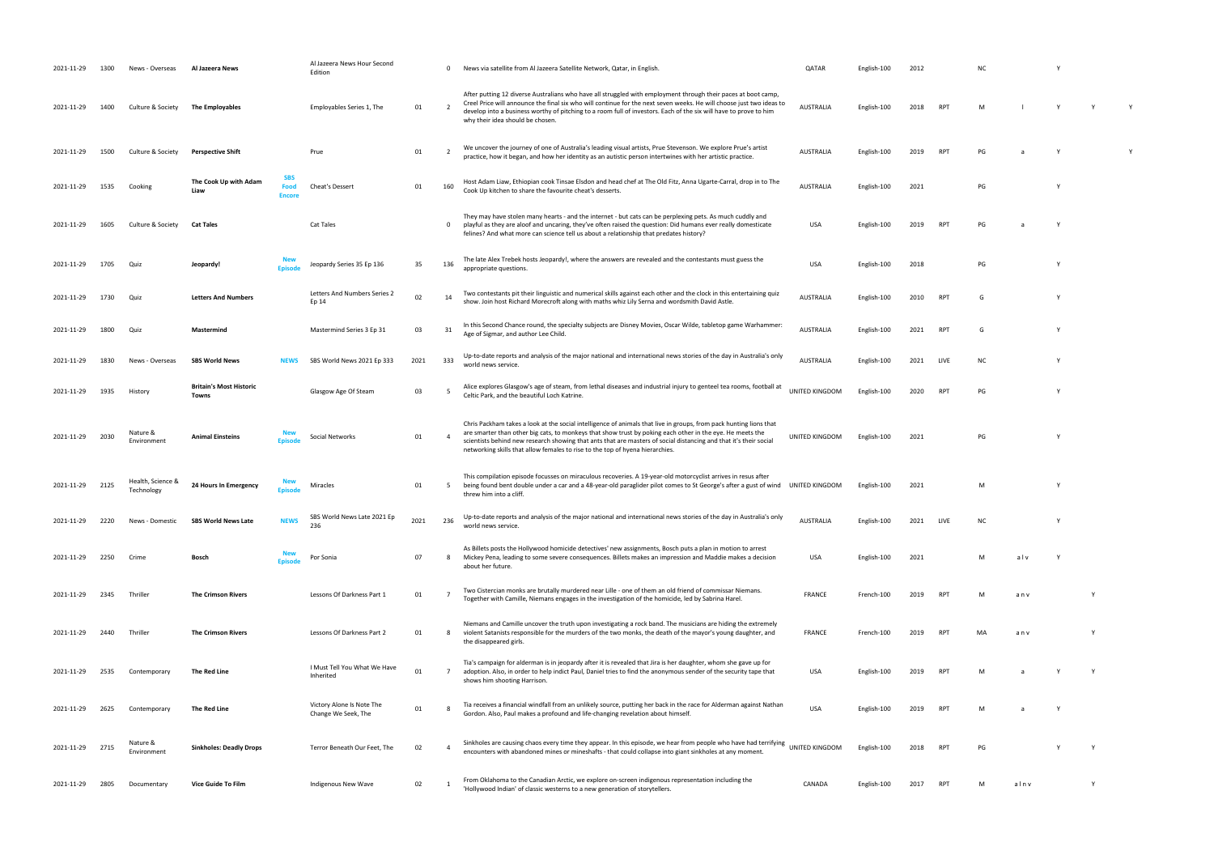| 2021-11-29 | 1300 | News - Overseas                 | Al Jazeera News                         |                                            | Al Jazeera News Hour Second<br>Edition           |      | 0          | News via satellite from Al Jazeera Satellite Network, Qatar, in English.                                                                                                                                                                                                                                                                                                                                                              | QATAR            | English-100 | 2012 |                 | N0  |      |     |  |
|------------|------|---------------------------------|-----------------------------------------|--------------------------------------------|--------------------------------------------------|------|------------|---------------------------------------------------------------------------------------------------------------------------------------------------------------------------------------------------------------------------------------------------------------------------------------------------------------------------------------------------------------------------------------------------------------------------------------|------------------|-------------|------|-----------------|-----|------|-----|--|
| 2021-11-29 | 1400 | Culture & Society               | <b>The Employables</b>                  |                                            | Employables Series 1, The                        | 01   | - 2        | After putting 12 diverse Australians who have all struggled with employment through their paces at boot camp,<br>Creel Price will announce the final six who will continue for the next seven weeks. He will choose just two ideas to<br>develop into a business worthy of pitching to a room full of investors. Each of the six will have to prove to him<br>why their idea should be chosen.                                        | <b>AUSTRALIA</b> | English-100 | 2018 | RP <sub>1</sub> | M   |      | Y   |  |
| 2021-11-29 | 1500 | Culture & Society               | <b>Perspective Shift</b>                |                                            | Prue                                             | 01   |            | We uncover the journey of one of Australia's leading visual artists, Prue Stevenson. We explore Prue's artist<br>practice, how it began, and how her identity as an autistic person intertwines with her artistic practice.                                                                                                                                                                                                           | <b>AUSTRALIA</b> | English-100 | 2019 | RP              | PG  |      |     |  |
| 2021-11-29 | 1535 | Cooking                         | The Cook Up with Adam<br>Liaw           | <b>SBS</b><br><b>Food</b><br><b>Encore</b> | Cheat's Dessert                                  | 01   | 160        | Host Adam Liaw, Ethiopian cook Tinsae Elsdon and head chef at The Old Fitz, Anna Ugarte-Carral, drop in to The<br>Cook Up kitchen to share the favourite cheat's desserts.                                                                                                                                                                                                                                                            | <b>AUSTRALIA</b> | English-100 | 2021 |                 | PG  |      | Y   |  |
| 2021-11-29 | 1605 | Culture & Society               | <b>Cat Tales</b>                        |                                            | Cat Tales                                        |      | $^{\circ}$ | They may have stolen many hearts - and the internet - but cats can be perplexing pets. As much cuddly and<br>playful as they are aloof and uncaring, they've often raised the question: Did humans ever really domesticate<br>felines? And what more can science tell us about a relationship that predates history?                                                                                                                  | USA              | English-100 | 2019 | RP <sup></sup>  | PG  |      |     |  |
| 2021-11-29 | 1705 | Quiz                            | Jeopardy!                               | <b>Episod</b>                              | Jeopardy Series 35 Ep 136                        | 35   | 136        | The late Alex Trebek hosts Jeopardy!, where the answers are revealed and the contestants must guess the<br>appropriate questions.                                                                                                                                                                                                                                                                                                     | <b>USA</b>       | English-100 | 2018 |                 | PG  |      |     |  |
| 2021-11-29 | 1730 | Quiz                            | <b>Letters And Numbers</b>              |                                            | Letters And Numbers Series 2<br>Ep 14            | 02   | 14         | Two contestants pit their linguistic and numerical skills against each other and the clock in this entertaining quiz<br>show. Join host Richard Morecroft along with maths whiz Lily Serna and wordsmith David Astle.                                                                                                                                                                                                                 | <b>AUSTRALIA</b> | English-100 | 2010 | RP <sub>1</sub> | G   |      |     |  |
| 2021-11-29 | 1800 | Quiz                            | Mastermind                              |                                            | Mastermind Series 3 Ep 31                        | 03   | 31         | In this Second Chance round, the specialty subjects are Disney Movies, Oscar Wilde, tabletop game Warhammer:<br>Age of Sigmar, and author Lee Child.                                                                                                                                                                                                                                                                                  | <b>AUSTRALIA</b> | English-100 | 2021 | RP <sub>1</sub> | G   |      |     |  |
| 2021-11-29 | 1830 | News - Overseas                 | <b>SBS World News</b>                   | <b>NEWS</b>                                | SBS World News 2021 Ep 333                       | 2021 | 333        | Up-to-date reports and analysis of the major national and international news stories of the day in Australia's only<br>world news service.                                                                                                                                                                                                                                                                                            | <b>AUSTRALIA</b> | English-100 | 2021 | LIVE            | NC. |      |     |  |
| 2021-11-29 | 1935 | History                         | <b>Britain's Most Historic</b><br>Towns |                                            | Glasgow Age Of Steam                             | 03   | -5         | Alice explores Glasgow's age of steam, from lethal diseases and industrial injury to genteel tea rooms, football at<br>Celtic Park, and the beautiful Loch Katrine.                                                                                                                                                                                                                                                                   | UNITED KINGDOM   | English-100 | 2020 | RP1             | PG  |      | Υ   |  |
| 2021-11-29 | 2030 | Nature &<br>Environment         | <b>Animal Einsteins</b>                 | <b>New</b><br><b>Episod</b>                | Social Networks                                  | 01   |            | Chris Packham takes a look at the social intelligence of animals that live in groups, from pack hunting lions that<br>are smarter than other big cats, to monkeys that show trust by poking each other in the eye. He meets the<br>scientists behind new research showing that ants that are masters of social distancing and that it's their social<br>networking skills that allow females to rise to the top of hyena hierarchies. | UNITED KINGDOM   | English-100 | 2021 |                 | PG  |      | Y   |  |
| 2021-11-29 | 2125 | Health, Science &<br>Technology | 24 Hours In Emergency                   | Episode                                    | Miracles                                         | 01   | -5         | This compilation episode focusses on miraculous recoveries. A 19-year-old motorcyclist arrives in resus after<br>being found bent double under a car and a 48-year-old paraglider pilot comes to St George's after a gust of wind UNITED KINGDOM<br>threw him into a cliff.                                                                                                                                                           |                  | English-100 | 2021 |                 | M   |      |     |  |
| 2021-11-29 | 2220 | News - Domestic                 | <b>SBS World News Late</b>              | <b>NEWS</b>                                | SBS World News Late 2021 Ep<br>236               | 2021 | 236        | Up-to-date reports and analysis of the major national and international news stories of the day in Australia's only<br>world news service.                                                                                                                                                                                                                                                                                            | <b>AUSTRALIA</b> | English-100 | 2021 | LIVE            | ΝC  |      |     |  |
| 2021-11-29 | 2250 | Crime                           | Bosch                                   | <b>Episod</b>                              | Por Sonia                                        | 07   |            | As Billets posts the Hollywood homicide detectives' new assignments, Bosch puts a plan in motion to arrest<br>Mickey Pena, leading to some severe consequences. Billets makes an impression and Maddie makes a decision<br>about her future.                                                                                                                                                                                          | USA              | English-100 | 2021 |                 | м   | alv  | - Y |  |
| 2021-11-29 | 2345 | Thriller                        | <b>The Crimson Rivers</b>               |                                            | Lessons Of Darkness Part 1                       | 01   |            | Two Cistercian monks are brutally murdered near Lille - one of them an old friend of commissar Niemans.<br>Together with Camille, Niemans engages in the investigation of the homicide, led by Sabrina Harel.                                                                                                                                                                                                                         | <b>FRANCE</b>    | French-100  | 2019 | RP <sub>1</sub> | M   | anv  |     |  |
| 2021-11-29 | 2440 | Thriller                        | <b>The Crimson Rivers</b>               |                                            | Lessons Of Darkness Part 2                       | 01   |            | Niemans and Camille uncover the truth upon investigating a rock band. The musicians are hiding the extremely<br>violent Satanists responsible for the murders of the two monks, the death of the mayor's young daughter, and<br>the disappeared girls.                                                                                                                                                                                | <b>FRANCE</b>    | French-100  | 2019 | RP <sub>1</sub> | MA  | anv  |     |  |
| 2021-11-29 | 2535 | Contemporary                    | The Red Line                            |                                            | I Must Tell You What We Have<br>Inherited        | 01   | 7          | Tia's campaign for alderman is in jeopardy after it is revealed that Jira is her daughter, whom she gave up for<br>adoption. Also, in order to help indict Paul, Daniel tries to find the anonymous sender of the security tape that<br>shows him shooting Harrison.                                                                                                                                                                  | USA              | English-100 | 2019 | RP <sub>1</sub> | M   |      |     |  |
| 2021-11-29 | 2625 | Contemporary                    | The Red Line                            |                                            | Victory Alone Is Note The<br>Change We Seek, The | 01   |            | Tia receives a financial windfall from an unlikely source, putting her back in the race for Alderman against Nathan<br>Gordon. Also, Paul makes a profound and life-changing revelation about himself.                                                                                                                                                                                                                                | USA              | English-100 | 2019 | RP              | M   |      |     |  |
| 2021-11-29 | 2715 | Nature &<br>Environment         | <b>Sinkholes: Deadly Drops</b>          |                                            | Terror Beneath Our Feet, The                     | 02   |            | Sinkholes are causing chaos every time they appear. In this episode, we hear from people who have had terrifying<br>encounters with abandoned mines or mineshafts - that could collapse into giant sinkholes at any moment.                                                                                                                                                                                                           | UNITED KINGDOM   | English-100 | 2018 | RP <sub>1</sub> | PG  |      |     |  |
| 2021-11-29 | 2805 | Documentary                     | <b>Vice Guide To Film</b>               |                                            | Indigenous New Wave                              | 02   |            | From Oklahoma to the Canadian Arctic, we explore on-screen indigenous representation including the<br>'Hollywood Indian' of classic westerns to a new generation of storytellers.                                                                                                                                                                                                                                                     | CANADA           | English-100 | 2017 | RP <sub>1</sub> | M   | alnv |     |  |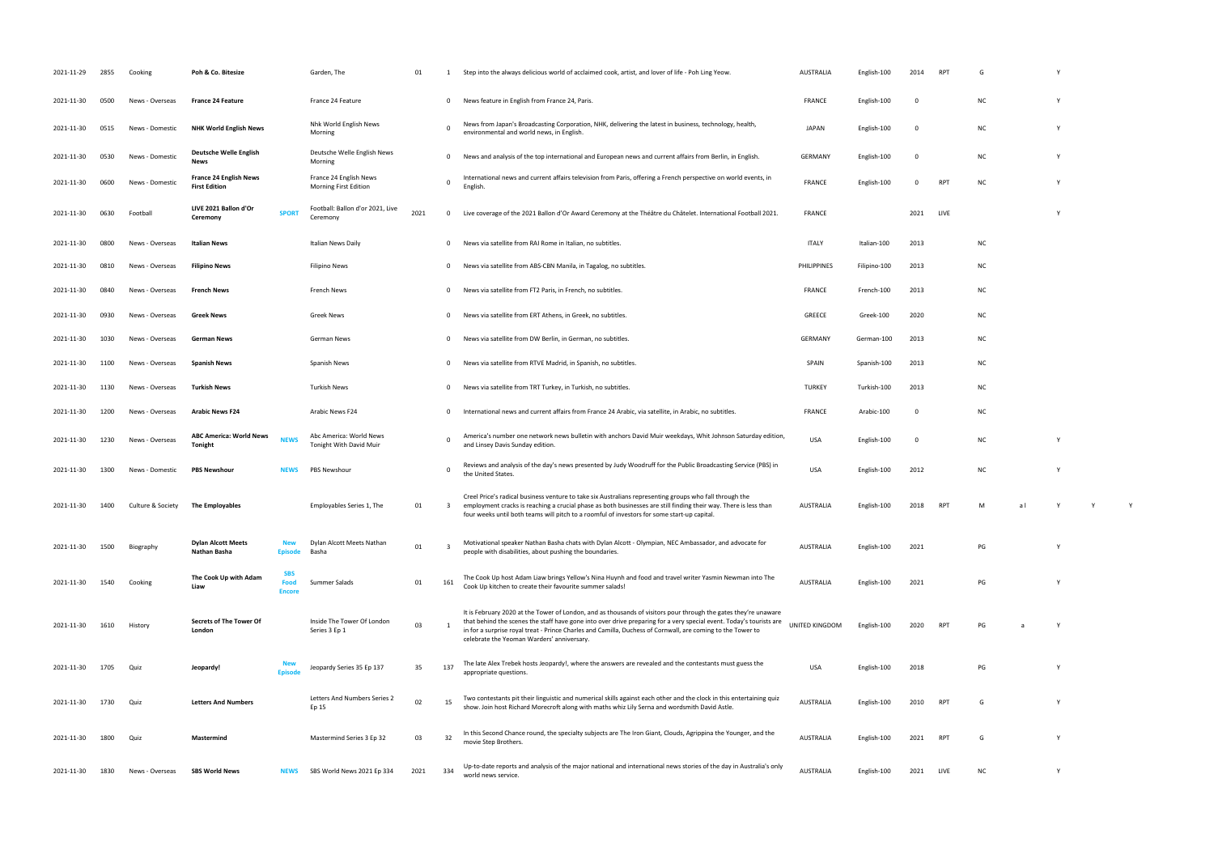| 2021-11-29 | 2855 | Cooking           | Poh & Co. Bitesize                                    |                                     | Garden, The                                        | 01   |                         | Step into the always delicious world of acclaimed cook, artist, and lover of life - Poh Ling Yeow.                                                                                                                                                                                                                                                                                                  | <b>AUSTRALIA</b> | English-100  | 2014                    | RP <sub>1</sub> | G         |  |  |
|------------|------|-------------------|-------------------------------------------------------|-------------------------------------|----------------------------------------------------|------|-------------------------|-----------------------------------------------------------------------------------------------------------------------------------------------------------------------------------------------------------------------------------------------------------------------------------------------------------------------------------------------------------------------------------------------------|------------------|--------------|-------------------------|-----------------|-----------|--|--|
| 2021-11-30 | 0500 | News - Overseas   | <b>France 24 Feature</b>                              |                                     | France 24 Feature                                  |      | $\mathbf{0}$            | News feature in English from France 24, Paris.                                                                                                                                                                                                                                                                                                                                                      | <b>FRANCE</b>    | English-100  | - 0                     |                 | <b>NC</b> |  |  |
| 2021-11-30 | 0515 | News - Domestic   | <b>NHK World English News</b>                         |                                     | Nhk World English News<br>Morning                  |      | $\mathbf 0$             | News from Japan's Broadcasting Corporation, NHK, delivering the latest in business, technology, health,<br>environmental and world news, in English.                                                                                                                                                                                                                                                | <b>JAPAN</b>     | English-100  | $\overline{\mathbf{0}}$ |                 | <b>NC</b> |  |  |
| 2021-11-30 | 0530 | News - Domestic   | Deutsche Welle English<br>News                        |                                     | Deutsche Welle English News<br>Morning             |      | $\mathbf{0}$            | News and analysis of the top international and European news and current affairs from Berlin, in English.                                                                                                                                                                                                                                                                                           | GERMANY          | English-100  | 0                       |                 | <b>NC</b> |  |  |
| 2021-11-30 | 0600 | News - Domestic   | <b>France 24 English News</b><br><b>First Edition</b> |                                     | France 24 English News<br>Morning First Edition    |      | $^{\circ}$              | International news and current affairs television from Paris, offering a French perspective on world events, in<br>English                                                                                                                                                                                                                                                                          | <b>FRANCE</b>    | English-100  | $\mathbf 0$             | <b>RPT</b>      | <b>NC</b> |  |  |
| 2021-11-30 | 0630 | Football          | LIVE 2021 Ballon d'Or<br>Ceremony                     | <b>SPORT</b>                        | Football: Ballon d'or 2021, Live<br>Ceremony       | 2021 | $\mathbf{0}$            | Live coverage of the 2021 Ballon d'Or Award Ceremony at the Théâtre du Châtelet. International Football 2021.                                                                                                                                                                                                                                                                                       | <b>FRANCE</b>    |              | 2021                    | LIVE            |           |  |  |
| 2021-11-30 | 0800 | News - Overseas   | <b>Italian News</b>                                   |                                     | Italian News Daily                                 |      | $\mathbf{0}$            | News via satellite from RAI Rome in Italian, no subtitles.                                                                                                                                                                                                                                                                                                                                          | <b>ITALY</b>     | Italian-100  | 2013                    |                 | ΝC        |  |  |
| 2021-11-30 | 0810 | News - Overseas   | <b>Filipino News</b>                                  |                                     | Filipino News                                      |      | $\mathbf{0}$            | News via satellite from ABS-CBN Manila, in Tagalog, no subtitles.                                                                                                                                                                                                                                                                                                                                   | PHILIPPINES      | Filipino-100 | 2013                    |                 | ΝC        |  |  |
| 2021-11-30 | 0840 | News - Overseas   | <b>French News</b>                                    |                                     | French News                                        |      | $\mathbf{0}$            | News via satellite from FT2 Paris, in French, no subtitles.                                                                                                                                                                                                                                                                                                                                         | <b>FRANCE</b>    | French-100   | 2013                    |                 | ΝC        |  |  |
| 2021-11-30 | 0930 | News - Overseas   | Greek News                                            |                                     | Greek News                                         |      | $\mathbf{0}$            | News via satellite from ERT Athens, in Greek, no subtitles.                                                                                                                                                                                                                                                                                                                                         | <b>GREECE</b>    | Greek-100    | 2020                    |                 | <b>NC</b> |  |  |
| 2021-11-30 | 1030 | News - Overseas   | German News                                           |                                     | German News                                        |      | $\mathbf{0}$            | News via satellite from DW Berlin, in German, no subtitles.                                                                                                                                                                                                                                                                                                                                         | GERMANY          | German-100   | 2013                    |                 | ΝC        |  |  |
| 2021-11-30 | 1100 | News - Overseas   | <b>Spanish News</b>                                   |                                     | Spanish News                                       |      | $\mathbf{0}$            | News via satellite from RTVE Madrid, in Spanish, no subtitles.                                                                                                                                                                                                                                                                                                                                      | SPAIN            | Spanish-100  | 2013                    |                 | <b>NC</b> |  |  |
| 2021-11-30 | 1130 | News - Overseas   | <b>Turkish News</b>                                   |                                     | Turkish News                                       |      | $\mathbf{0}$            | News via satellite from TRT Turkey, in Turkish, no subtitles.                                                                                                                                                                                                                                                                                                                                       | <b>TURKEY</b>    | Turkish-100  | 2013                    |                 | ΝC        |  |  |
| 2021-11-30 | 1200 | News - Overseas   | <b>Arabic News F24</b>                                |                                     | Arabic News F24                                    |      | $\mathbf{0}$            | International news and current affairs from France 24 Arabic, via satellite, in Arabic, no subtitles.                                                                                                                                                                                                                                                                                               | <b>FRANCE</b>    | Arabic-100   | 0                       |                 | ΝC        |  |  |
| 2021-11-30 | 1230 | News - Overseas   | <b>ABC America: World News</b><br><b>Tonight</b>      | <b>NEWS</b>                         | Abc America: World News<br>Tonight With David Muir |      | $\Omega$                | America's number one network news bulletin with anchors David Muir weekdays, Whit Johnson Saturday edition,<br>and Linsey Davis Sunday edition.                                                                                                                                                                                                                                                     | USA              | English-100  | - 0                     |                 | <b>NC</b> |  |  |
| 2021-11-30 | 1300 | News - Domestic   | <b>PBS Newshour</b>                                   | <b>NEWS</b>                         | PBS Newshour                                       |      |                         | Reviews and analysis of the day's news presented by Judy Woodruff for the Public Broadcasting Service (PBS) in<br>the United States.                                                                                                                                                                                                                                                                | <b>USA</b>       | English-100  | 2012                    |                 | ΝC        |  |  |
| 2021-11-30 | 1400 | Culture & Society | <b>The Employables</b>                                |                                     | Employables Series 1, The                          | 01   | -3                      | Creel Price's radical business venture to take six Australians representing groups who fall through the<br>employment cracks is reaching a crucial phase as both businesses are still finding their way. There is less than<br>four weeks until both teams will pitch to a roomful of investors for some start-up capital.                                                                          | <b>AUSTRALIA</b> | English-100  | 2018                    | RP <sub>1</sub> |           |  |  |
| 2021-11-30 | 1500 | Biography         | <b>Dylan Alcott Meets</b><br>Nathan Basha             | New<br>Episode                      | Dylan Alcott Meets Nathan<br>Basha                 | 01   | $\overline{\mathbf{3}}$ | Motivational speaker Nathan Basha chats with Dylan Alcott - Olympian, NEC Ambassador, and advocate for<br>people with disabilities, about pushing the boundaries.                                                                                                                                                                                                                                   | <b>AUSTRALIA</b> | English-100  | 2021                    |                 | PG        |  |  |
| 2021-11-30 | 1540 | Cooking           | The Cook Up with Adam<br>Liaw                         | <b>SBS</b><br>Food<br><b>Encore</b> | Summer Salads                                      | 01   | 161                     | The Cook Up host Adam Liaw brings Yellow's Nina Huynh and food and travel writer Yasmin Newman into The<br>Cook Up kitchen to create their favourite summer salads!                                                                                                                                                                                                                                 | <b>AUSTRALIA</b> | English-100  | 2021                    |                 | PG        |  |  |
| 2021-11-30 | 1610 | History           | Secrets of The Tower Of<br>London                     |                                     | Inside The Tower Of London<br>Series 3 Ep 1        | 03   |                         | It is February 2020 at the Tower of London, and as thousands of visitors pour through the gates they're unaware<br>that behind the scenes the staff have gone into over drive preparing for a very special event. Today's tourists are<br>in for a surprise royal treat - Prince Charles and Camilla, Duchess of Cornwall, are coming to the Tower to<br>celebrate the Yeoman Warders' anniversary. | UNITED KINGDOM   | English-100  | 2020                    | <b>RPT</b>      | PG        |  |  |
| 2021-11-30 | 1705 | Quiz              | Jeopardy!                                             |                                     | Jeopardy Series 35 Ep 137                          | 35   | 137                     | The late Alex Trebek hosts Jeopardy!, where the answers are revealed and the contestants must guess the<br>appropriate questions.                                                                                                                                                                                                                                                                   | <b>USA</b>       | English-100  | 2018                    |                 | PG        |  |  |
| 2021-11-30 | 1730 | Quiz              | <b>Letters And Numbers</b>                            |                                     | Letters And Numbers Series 2<br>Ep 15              | 02   | 15                      | Two contestants pit their linguistic and numerical skills against each other and the clock in this entertaining quiz<br>show. Join host Richard Morecroft along with maths whiz Lily Serna and wordsmith David Astle.                                                                                                                                                                               | <b>AUSTRALIA</b> | English-100  | 2010                    | <b>RPT</b>      | G         |  |  |
| 2021-11-30 | 1800 | Quiz              | Mastermind                                            |                                     | Mastermind Series 3 Ep 32                          | 03   | 32                      | In this Second Chance round, the specialty subjects are The Iron Giant, Clouds, Agrippina the Younger, and the<br>movie Step Brothers.                                                                                                                                                                                                                                                              | <b>AUSTRALIA</b> | English-100  | 2021                    | <b>RPT</b>      | G         |  |  |
|            |      |                   |                                                       |                                     |                                                    |      |                         |                                                                                                                                                                                                                                                                                                                                                                                                     |                  |              |                         |                 |           |  |  |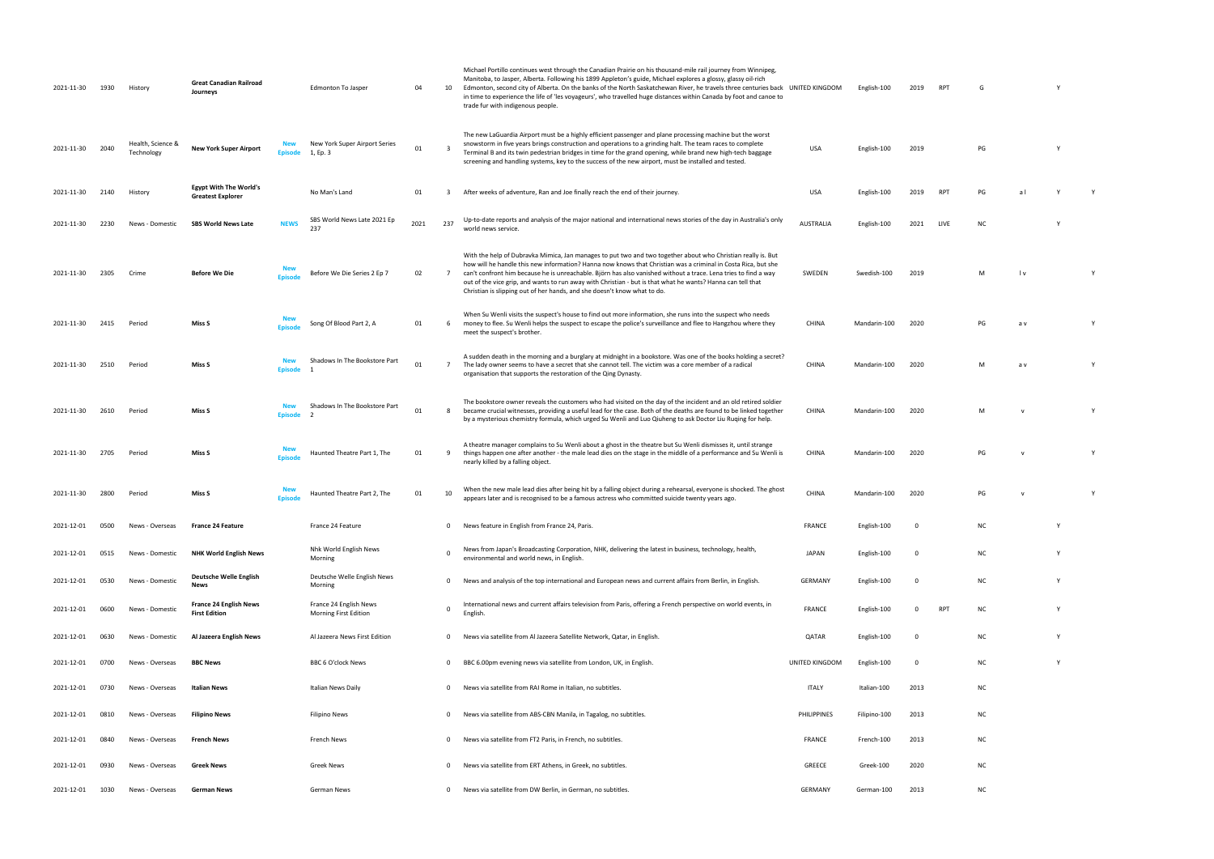| 2021-11-30 | 1930 | History                         | <b>Great Canadian Railroad</b><br>Journeys                |                              | Edmonton To Jasper                                        | 04   | 10              | Michael Portillo continues west through the Canadian Prairie on his thousand-mile rail journey from Winnipeg,<br>Manitoba, to Jasper, Alberta. Following his 1899 Appleton's guide, Michael explores a glossy, glassy oil-rich<br>Edmonton, second city of Alberta. On the banks of the North Saskatchewan River, he travels three centuries back UNITED KINGDOM<br>in time to experience the life of 'les voyageurs', who travelled huge distances within Canada by foot and canoe to<br>trade fur with indigenous people.                 |                    | English-100  | 2019           | RPT        | G         |     |          |   |
|------------|------|---------------------------------|-----------------------------------------------------------|------------------------------|-----------------------------------------------------------|------|-----------------|---------------------------------------------------------------------------------------------------------------------------------------------------------------------------------------------------------------------------------------------------------------------------------------------------------------------------------------------------------------------------------------------------------------------------------------------------------------------------------------------------------------------------------------------|--------------------|--------------|----------------|------------|-----------|-----|----------|---|
| 2021-11-30 | 2040 | Health, Science &<br>Technology | <b>New York Super Airport</b>                             | <b>New</b><br><b>Episode</b> | New York Super Airport Series<br>1, Ep. 3                 | 01   | 3               | The new LaGuardia Airport must be a highly efficient passenger and plane processing machine but the worst<br>snowstorm in five years brings construction and operations to a grinding halt. The team races to complete<br>Terminal B and its twin pedestrian bridges in time for the grand opening, while brand new high-tech baggage<br>screening and handling systems, key to the success of the new airport, must be installed and tested.                                                                                               | USA                | English-100  | 2019           |            | PG        |     | <b>V</b> |   |
| 2021-11-30 | 2140 | History                         | <b>Egypt With The World's</b><br><b>Greatest Explorer</b> |                              | No Man's Land                                             | 01   | 3               | After weeks of adventure, Ran and Joe finally reach the end of their journey.                                                                                                                                                                                                                                                                                                                                                                                                                                                               | USA                | English-100  | 2019           | <b>RPT</b> | PG        | al  |          |   |
| 2021-11-30 | 2230 | News - Domestic                 | <b>SBS World News Late</b>                                | <b>NEWS</b>                  | SBS World News Late 2021 Ep<br>237                        | 2021 | 237             | Up-to-date reports and analysis of the major national and international news stories of the day in Australia's only<br>world news service.                                                                                                                                                                                                                                                                                                                                                                                                  | <b>AUSTRALIA</b>   | English-100  | 2021           | LIVE       | <b>NC</b> |     |          |   |
| 2021-11-30 | 2305 | Crime                           | <b>Before We Die</b>                                      | <b>Fnisod</b>                | Before We Die Series 2 Ep 7                               | 02   | $7^{\circ}$     | With the help of Dubravka Mimica, Jan manages to put two and two together about who Christian really is. But<br>how will he handle this new information? Hanna now knows that Christian was a criminal in Costa Rica, but she<br>can't confront him because he is unreachable. Björn has also vanished without a trace. Lena tries to find a way<br>out of the vice grip, and wants to run away with Christian - but is that what he wants? Hanna can tell that<br>Christian is slipping out of her hands, and she doesn't know what to do. | SWEDEN             | Swedish-100  | 2019           |            | M         | l v |          |   |
| 2021-11-30 | 2415 | Period                          | Miss S                                                    |                              | Song Of Blood Part 2, A                                   | 01   |                 | When Su Wenli visits the suspect's house to find out more information, she runs into the suspect who needs<br>6 money to flee. Su Wenli helps the suspect to escape the police's surveillance and flee to Hangzhou where they<br>meet the suspect's brother.                                                                                                                                                                                                                                                                                | CHINA              | Mandarin-100 | 2020           |            | PG        | a v |          | Y |
| 2021-11-30 | 2510 | Period                          | Miss S                                                    | <b>Episode</b>               | Shadows In The Bookstore Part                             | 01   | $7\overline{ }$ | A sudden death in the morning and a burglary at midnight in a bookstore. Was one of the books holding a secret?<br>The lady owner seems to have a secret that she cannot tell. The victim was a core member of a radical<br>organisation that supports the restoration of the Qing Dynasty.                                                                                                                                                                                                                                                 | <b>CHINA</b>       | Mandarin-100 | 2020           |            | M         | a v |          |   |
| 2021-11-30 | 2610 | Period                          | Miss S                                                    | <b>Episode</b>               | Shadows In The Bookstore Part<br>$\overline{\phantom{a}}$ | 01   | 8               | The bookstore owner reveals the customers who had visited on the day of the incident and an old retired soldier<br>became crucial witnesses, providing a useful lead for the case. Both of the deaths are found to be linked together<br>by a mysterious chemistry formula, which urged Su Wenli and Luo Qiuheng to ask Doctor Liu Ruqing for help.                                                                                                                                                                                         | CHINA              | Mandarin-100 | 2020           |            | M         |     |          |   |
| 2021-11-30 | 2705 | Period                          | Miss S                                                    |                              | Haunted Theatre Part 1, The                               | 01   | 9               | A theatre manager complains to Su Wenli about a ghost in the theatre but Su Wenli dismisses it, until strange<br>things happen one after another - the male lead dies on the stage in the middle of a performance and Su Wenli is<br>nearly killed by a falling object.                                                                                                                                                                                                                                                                     | <b>CHINA</b>       | Mandarin-100 | 2020           |            | PG        |     |          |   |
| 2021-11-30 | 2800 | Period                          | Miss S                                                    | <b>Episod</b>                | Haunted Theatre Part 2, The                               | 01   | 10              | When the new male lead dies after being hit by a falling object during a rehearsal, everyone is shocked. The ghost<br>appears later and is recognised to be a famous actress who committed suicide twenty years ago.                                                                                                                                                                                                                                                                                                                        | <b>CHINA</b>       | Mandarin-100 | 2020           |            | PG        |     |          |   |
| 2021-12-01 | 0500 | News - Overseas                 | <b>France 24 Feature</b>                                  |                              | France 24 Feature                                         |      | $\mathbf{0}$    | News feature in English from France 24, Paris.                                                                                                                                                                                                                                                                                                                                                                                                                                                                                              | <b>FRANCE</b>      | English-100  | $\Omega$       |            | <b>NC</b> |     |          |   |
| 2021-12-01 | 0515 | News - Domestic                 | <b>NHK World English News</b>                             |                              | Nhk World English News<br>Morning                         |      | $\Omega$        | News from Japan's Broadcasting Corporation, NHK, delivering the latest in business, technology, health,<br>environmental and world news, in English.                                                                                                                                                                                                                                                                                                                                                                                        | <b>JAPAN</b>       | English-100  | $\overline{0}$ |            | NC        |     |          |   |
| 2021-12-01 | 0530 | News - Domestic                 | Deutsche Welle English<br>News                            |                              | Deutsche Welle English News<br>Morning                    |      | $\mathbf{0}$    | News and analysis of the top international and European news and current affairs from Berlin, in English.                                                                                                                                                                                                                                                                                                                                                                                                                                   | GERMANY            | English-100  | $\Omega$       |            | NC        |     |          |   |
| 2021-12-01 | 0600 | News - Domestic                 | France 24 English News<br><b>First Edition</b>            |                              | France 24 English News<br>Morning First Edition           |      | $\mathbf 0$     | International news and current affairs television from Paris, offering a French perspective on world events, in<br>English                                                                                                                                                                                                                                                                                                                                                                                                                  | <b>FRANCE</b>      | English-100  | $\Omega$       | RPT        | <b>NC</b> |     |          |   |
| 2021-12-01 | 0630 | News - Domestic                 | Al Jazeera English News                                   |                              | Al Jazeera News First Edition                             |      | $\mathbf{0}$    | News via satellite from Al Jazeera Satellite Network, Qatar, in English.                                                                                                                                                                                                                                                                                                                                                                                                                                                                    | QATAR              | English-100  | $\Omega$       |            | NC        |     | Y        |   |
| 2021-12-01 | 0700 | News - Overseas                 | <b>BBC News</b>                                           |                              | BBC 6 O'clock News                                        |      | $\mathbf{0}$    | BBC 6.00pm evening news via satellite from London, UK, in English.                                                                                                                                                                                                                                                                                                                                                                                                                                                                          | UNITED KINGDOM     | English-100  | $\Omega$       |            | NC        |     | Y        |   |
| 2021-12-01 | 0730 | News - Overseas                 | <b>Italian News</b>                                       |                              | <b>Italian News Daily</b>                                 |      | $\mathbf{0}$    | News via satellite from RAI Rome in Italian, no subtitles.                                                                                                                                                                                                                                                                                                                                                                                                                                                                                  | <b>ITALY</b>       | Italian-100  | 2013           |            | <b>NC</b> |     |          |   |
| 2021-12-01 | 0810 | News - Overseas                 | <b>Filipino News</b>                                      |                              | Filipino News                                             |      | $\mathbf{0}$    | News via satellite from ABS-CBN Manila, in Tagalog, no subtitles.                                                                                                                                                                                                                                                                                                                                                                                                                                                                           | <b>PHILIPPINES</b> | Filipino-100 | 2013           |            | NC        |     |          |   |
| 2021-12-01 | 0840 | News - Overseas                 | French News                                               |                              | French News                                               |      | $\Omega$        | News via satellite from FT2 Paris, in French, no subtitles.                                                                                                                                                                                                                                                                                                                                                                                                                                                                                 | FRANCE             | French-100   | 2013           |            | NC        |     |          |   |
| 2021-12-01 | 0930 | News - Overseas                 | <b>Greek News</b>                                         |                              | Greek News                                                |      | $^{\circ}$      | News via satellite from ERT Athens, in Greek, no subtitles.                                                                                                                                                                                                                                                                                                                                                                                                                                                                                 | GREECE             | Greek-100    | 2020           |            | <b>NC</b> |     |          |   |
| 2021-12-01 | 1030 | News - Overseas                 | <b>German News</b>                                        |                              | German News                                               |      | $\mathbf{0}$    | News via satellite from DW Berlin, in German, no subtitles.                                                                                                                                                                                                                                                                                                                                                                                                                                                                                 | GERMANY            | German-100   | 2013           |            | <b>NC</b> |     |          |   |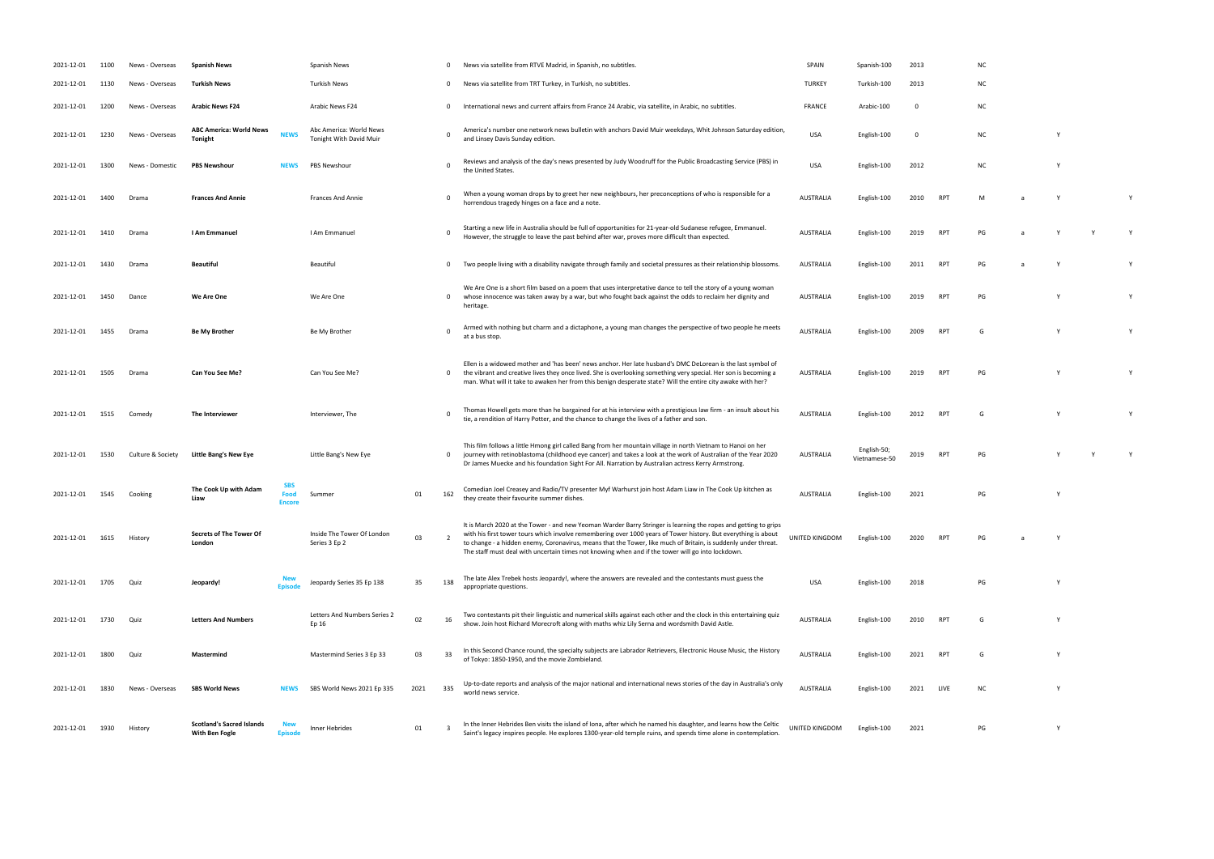| 2021-12-01 | 1100 | News - Overseas   | <b>Spanish News</b>                                |                                     | Spanish News                                       |      | 0              | News via satellite from RTVE Madrid, in Spanish, no subtitles.                                                                                                                                                                                                                                                                                                                                                                                           | SPAIN            | Spanish-100                  | 2013 |                 | <b>NC</b> |          |   |   |
|------------|------|-------------------|----------------------------------------------------|-------------------------------------|----------------------------------------------------|------|----------------|----------------------------------------------------------------------------------------------------------------------------------------------------------------------------------------------------------------------------------------------------------------------------------------------------------------------------------------------------------------------------------------------------------------------------------------------------------|------------------|------------------------------|------|-----------------|-----------|----------|---|---|
| 2021-12-01 | 1130 | News - Overseas   | Turkish News                                       |                                     | <b>Turkish News</b>                                |      | $\mathbf{0}$   | News via satellite from TRT Turkey, in Turkish, no subtitles.                                                                                                                                                                                                                                                                                                                                                                                            | <b>TURKEY</b>    | Turkish-100                  | 2013 |                 | ΝC        |          |   |   |
| 2021-12-01 | 1200 | News - Overseas   | <b>Arabic News F24</b>                             |                                     | Arabic News F24                                    |      | $\mathbf 0$    | International news and current affairs from France 24 Arabic, via satellite, in Arabic, no subtitles.                                                                                                                                                                                                                                                                                                                                                    | FRANCE           | Arabic-100                   | - 0  |                 | NC        |          |   |   |
| 2021-12-01 | 1230 | News - Overseas   | <b>ABC America: World News</b><br><b>Tonight</b>   | <b>NEWS</b>                         | Abc America: World News<br>Tonight With David Muir |      |                | America's number one network news bulletin with anchors David Muir weekdays, Whit Johnson Saturday edition,<br>and Linsey Davis Sunday edition.                                                                                                                                                                                                                                                                                                          | <b>USA</b>       | English-100                  | - 0  |                 | NC        |          | Y |   |
| 2021-12-01 | 1300 | News - Domestic   | <b>PBS Newshour</b>                                | <b>NEWS</b>                         | PBS Newshour                                       |      | - 0            | Reviews and analysis of the day's news presented by Judy Woodruff for the Public Broadcasting Service (PBS) in<br>the United States.                                                                                                                                                                                                                                                                                                                     | <b>USA</b>       | English-100                  | 2012 |                 | NC        |          | Y |   |
| 2021-12-01 | 1400 | Drama             | <b>Frances And Annie</b>                           |                                     | Frances And Annie                                  |      |                | When a young woman drops by to greet her new neighbours, her preconceptions of who is responsible for a<br>horrendous tragedy hinges on a face and a note.                                                                                                                                                                                                                                                                                               | <b>AUSTRALIA</b> | English-100                  | 2010 | RP1             | M         | <b>a</b> | Y |   |
| 2021-12-01 | 1410 | Drama             | I Am Emmanuel                                      |                                     | I Am Emmanuel                                      |      | 0              | Starting a new life in Australia should be full of opportunities for 21-year-old Sudanese refugee, Emmanuel.<br>However, the struggle to leave the past behind after war, proves more difficult than expected.                                                                                                                                                                                                                                           | <b>AUSTRALIA</b> | English-100                  | 2019 | RP <sub>1</sub> | PG        | a        | Y | Y |
| 2021-12-01 | 1430 | Drama             | <b>Beautiful</b>                                   |                                     | Beautiful                                          |      | $^{\circ}$     | Two people living with a disability navigate through family and societal pressures as their relationship blossoms.                                                                                                                                                                                                                                                                                                                                       | <b>AUSTRALIA</b> | English-100                  | 2011 | RP <sub>1</sub> | PG        | a        | Y |   |
| 2021-12-01 | 1450 | Dance             | We Are One                                         |                                     | We Are One                                         |      | $\mathbf 0$    | We Are One is a short film based on a poem that uses interpretative dance to tell the story of a young woman<br>whose innocence was taken away by a war, but who fought back against the odds to reclaim her dignity and<br>heritage.                                                                                                                                                                                                                    | <b>AUSTRALIA</b> | English-100                  | 2019 | RP <sub>1</sub> | PG        |          |   |   |
| 2021-12-01 | 1455 | Drama             | <b>Be My Brother</b>                               |                                     | Be My Brother                                      |      |                | Armed with nothing but charm and a dictaphone, a young man changes the perspective of two people he meets<br>at a bus stop.                                                                                                                                                                                                                                                                                                                              | <b>AUSTRALIA</b> | English-100                  | 2009 | RP <sub>1</sub> | G         |          |   |   |
| 2021-12-01 | 1505 | Drama             | <b>Can You See Me?</b>                             |                                     | Can You See Me?                                    |      | $^{\circ}$     | Ellen is a widowed mother and 'has been' news anchor. Her late husband's DMC DeLorean is the last symbol of<br>the vibrant and creative lives they once lived. She is overlooking something very special. Her son is becoming a<br>man. What will it take to awaken her from this benign desperate state? Will the entire city awake with her?                                                                                                           | <b>AUSTRALIA</b> | English-100                  | 2019 | RP <sub>1</sub> | PG        |          |   |   |
| 2021-12-01 | 1515 | Comedy            | The Interviewer                                    |                                     | Interviewer, The                                   |      | 0              | Thomas Howell gets more than he bargained for at his interview with a prestigious law firm - an insult about his<br>tie, a rendition of Harry Potter, and the chance to change the lives of a father and son.                                                                                                                                                                                                                                            | <b>AUSTRALIA</b> | English-100                  | 2012 | RP1             | G         |          |   |   |
| 2021-12-01 | 1530 | Culture & Society | <b>Little Bang's New Eye</b>                       |                                     | Little Bang's New Eye                              |      | $\mathbf{0}$   | This film follows a little Hmong girl called Bang from her mountain village in north Vietnam to Hanoi on her<br>journey with retinoblastoma (childhood eye cancer) and takes a look at the work of Australian of the Year 2020<br>Dr James Muecke and his foundation Sight For All. Narration by Australian actress Kerry Armstrong.                                                                                                                     | <b>AUSTRALIA</b> | English-50;<br>Vietnamese-50 | 2019 | RP <sub>1</sub> | PG        |          |   |   |
| 2021-12-01 | 1545 | Cooking           | The Cook Up with Adam<br>Liaw                      | <b>SBS</b><br>Food<br><b>Encore</b> | Summer                                             | 01   | 162            | Comedian Joel Creasey and Radio/TV presenter Myf Warhurst join host Adam Liaw in The Cook Up kitchen as<br>they create their favourite summer dishes.                                                                                                                                                                                                                                                                                                    | <b>AUSTRALIA</b> | English-100                  | 2021 |                 | PG        |          | Y |   |
| 2021-12-01 | 1615 | History           | Secrets of The Tower Of<br>London                  |                                     | Inside The Tower Of London<br>Series 3 Ep 2        | 03   | $\overline{2}$ | It is March 2020 at the Tower - and new Yeoman Warder Barry Stringer is learning the ropes and getting to grips<br>with his first tower tours which involve remembering over 1000 years of Tower history. But everything is about<br>to change - a hidden enemy, Coronavirus, means that the Tower, like much of Britain, is suddenly under threat.<br>The staff must deal with uncertain times not knowing when and if the tower will go into lockdown. | UNITED KINGDOM   | English-100                  | 2020 | <b>RPT</b>      | PG        | a        | Y |   |
| 2021-12-01 | 1705 | Quiz              | Jeopardy!                                          |                                     | Jeopardy Series 35 Ep 138                          | 35   | 138            | The late Alex Trebek hosts Jeopardy!, where the answers are revealed and the contestants must guess the<br>appropriate questions.                                                                                                                                                                                                                                                                                                                        | <b>USA</b>       | English-100                  | 2018 |                 | PG        |          |   |   |
| 2021-12-01 | 1730 | Quiz              | <b>Letters And Numbers</b>                         |                                     | Letters And Numbers Series 2<br>Ep 16              | 02   | 16             | Two contestants pit their linguistic and numerical skills against each other and the clock in this entertaining quiz<br>show. Join host Richard Morecroft along with maths whiz Lily Serna and wordsmith David Astle.                                                                                                                                                                                                                                    | <b>AUSTRALIA</b> | English-100                  | 2010 | RP1             | G         |          |   |   |
| 2021-12-01 | 1800 | Quiz              | Mastermind                                         |                                     | Mastermind Series 3 Ep 33                          | 03   | 33             | In this Second Chance round, the specialty subjects are Labrador Retrievers, Electronic House Music, the History<br>of Tokyo: 1850-1950, and the movie Zombieland.                                                                                                                                                                                                                                                                                       | <b>AUSTRALIA</b> | English-100                  | 2021 | RP <sub>1</sub> | G         |          |   |   |
| 2021-12-01 | 1830 | News - Overseas   | <b>SBS World News</b>                              | <b>NEWS</b>                         | SBS World News 2021 Ep 335                         | 2021 | 335            | Up-to-date reports and analysis of the major national and international news stories of the day in Australia's only<br>world news service.                                                                                                                                                                                                                                                                                                               | <b>AUSTRALIA</b> | English-100                  | 2021 | LIVE            | NC        |          | Y |   |
| 2021-12-01 | 1930 | History           | <b>Scotland's Sacred Islands</b><br>With Ben Fogle | <b>New</b><br><b>Episode</b>        | Inner Hebrides                                     | 01   | - 3            | In the Inner Hebrides Ben visits the island of Iona, after which he named his daughter, and learns how the Celtic<br>Saint's legacy inspires people. He explores 1300-year-old temple ruins, and spends time alone in contemplation.                                                                                                                                                                                                                     | UNITED KINGDOM   | English-100                  | 2021 |                 | PG        |          | Y |   |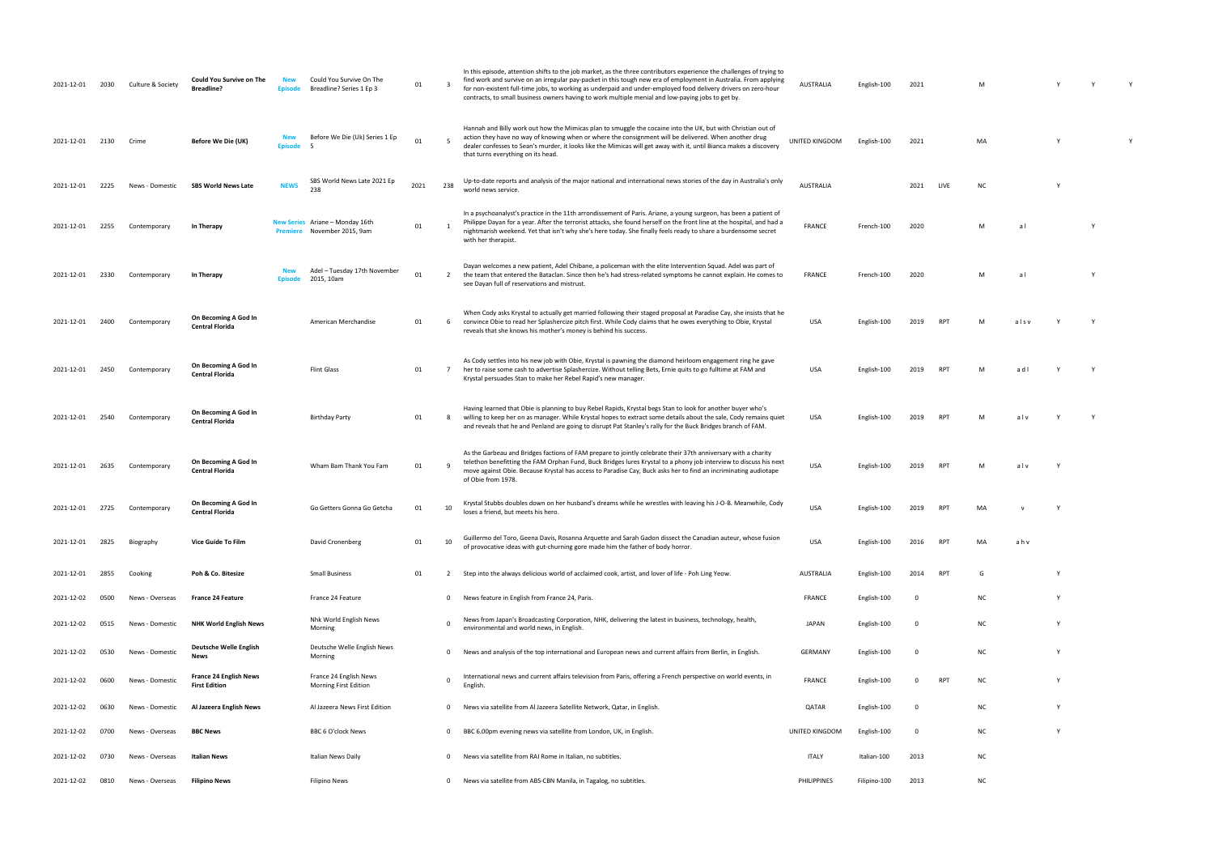| 2021-12-01 | 2030 | Culture & Society | <b>Could You Survive on The</b><br><b>Breadline?</b>  | Episode                      | Could You Survive On The<br>Breadline? Series 1 Ep 3           | 01   | $\overline{\mathbf{3}}$ | In this episode, attention shifts to the job market, as the three contributors experience the challenges of trying to<br>find work and survive on an irregular pay-packet in this tough new era of employment in Australia. From applying<br>for non-existent full-time jobs, to working as underpaid and under-employed food delivery drivers on zero-hour<br>contracts, to small business owners having to work multiple menial and low-paying jobs to get by. | <b>AUSTRALIA</b>   | English-100  | 2021        |                 | M   |      |          |  |
|------------|------|-------------------|-------------------------------------------------------|------------------------------|----------------------------------------------------------------|------|-------------------------|------------------------------------------------------------------------------------------------------------------------------------------------------------------------------------------------------------------------------------------------------------------------------------------------------------------------------------------------------------------------------------------------------------------------------------------------------------------|--------------------|--------------|-------------|-----------------|-----|------|----------|--|
| 2021-12-01 | 2130 | Crime             | Before We Die (UK)                                    | <b>New</b><br><b>Episode</b> | Before We Die (Uk) Series 1 Ep                                 | 01   |                         | Hannah and Billy work out how the Mimicas plan to smuggle the cocaine into the UK, but with Christian out of<br>action they have no way of knowing when or where the consignment will be delivered. When another drug<br>dealer confesses to Sean's murder, it looks like the Mimicas will get away with it, until Bianca makes a discovery<br>that turns everything on its head.                                                                                | UNITED KINGDOM     | English-100  | 2021        |                 | MA  |      | <b>Y</b> |  |
| 2021-12-01 | 2225 | News - Domestic   | <b>SBS World News Late</b>                            | <b>NEWS</b>                  | SBS World News Late 2021 Ep<br>238                             | 2021 | 238                     | Up-to-date reports and analysis of the major national and international news stories of the day in Australia's only<br>world news service.                                                                                                                                                                                                                                                                                                                       | <b>AUSTRALIA</b>   |              | 2021        | LIVE            | ΝC  |      |          |  |
| 2021-12-01 | 2255 | Contemporary      | In Therapy                                            |                              | New Series Ariane - Monday 16th<br>Premiere November 2015, 9am | 01   | $\mathbf{1}$            | In a psychoanalyst's practice in the 11th arrondissement of Paris. Ariane, a young surgeon, has been a patient of<br>Philippe Dayan for a year. After the terrorist attacks, she found herself on the front line at the hospital, and had a<br>nightmarish weekend. Yet that isn't why she's here today. She finally feels ready to share a burdensome secret<br>with her therapist.                                                                             | FRANCE             | French-100   | 2020        |                 | M   | al   |          |  |
| 2021-12-01 | 2330 | Contemporary      | In Therapy                                            | Episode                      | Adel - Tuesday 17th November<br>2015, 10am                     | 01   | 2                       | Dayan welcomes a new patient, Adel Chibane, a policeman with the elite Intervention Squad. Adel was part of<br>the team that entered the Bataclan. Since then he's had stress-related symptoms he cannot explain. He comes to<br>see Dayan full of reservations and mistrust.                                                                                                                                                                                    | FRANCE             | French-100   | 2020        |                 | M   | al   |          |  |
| 2021-12-01 | 2400 | Contemporary      | On Becoming A God In<br><b>Central Florida</b>        |                              | American Merchandise                                           | 01   | 6                       | When Cody asks Krystal to actually get married following their staged proposal at Paradise Cay, she insists that he<br>convince Obie to read her Splashercize pitch first. While Cody claims that he owes everything to Obie, Krystal<br>reveals that she knows his mother's money is behind his success.                                                                                                                                                        | <b>USA</b>         | English-100  | 2019        | <b>RPT</b>      | M   | alsv |          |  |
| 2021-12-01 | 2450 | Contemporary      | On Becoming A God In<br><b>Central Florida</b>        |                              | <b>Flint Glass</b>                                             | 01   | $\overline{7}$          | As Cody settles into his new job with Obie, Krystal is pawning the diamond heirloom engagement ring he gave<br>her to raise some cash to advertise Splashercize. Without telling Bets, Ernie quits to go fulltime at FAM and<br>Krystal persuades Stan to make her Rebel Rapid's new manager.                                                                                                                                                                    | <b>USA</b>         | English-100  | 2019        | RP <sub>1</sub> | M   | adl  |          |  |
| 2021-12-01 | 2540 | Contemporary      | On Becoming A God In<br><b>Central Florida</b>        |                              | <b>Birthday Party</b>                                          | 01   | - 8                     | Having learned that Obie is planning to buy Rebel Rapids, Krystal begs Stan to look for another buyer who's<br>willing to keep her on as manager. While Krystal hopes to extract some details about the sale, Cody remains quiet<br>and reveals that he and Penland are going to disrupt Pat Stanley's rally for the Buck Bridges branch of FAM.                                                                                                                 | <b>USA</b>         | English-100  | 2019        | RP.             | M   | alv  |          |  |
| 2021-12-01 | 2635 | Contemporary      | On Becoming A God In<br><b>Central Florida</b>        |                              | Wham Bam Thank You Fam                                         | 01   |                         | As the Garbeau and Bridges factions of FAM prepare to jointly celebrate their 37th anniversary with a charity<br>telethon benefitting the FAM Orphan Fund, Buck Bridges lures Krystal to a phony job interview to discuss his next<br>move against Obie. Because Krystal has access to Paradise Cay, Buck asks her to find an incriminating audiotape<br>of Obie from 1978.                                                                                      | <b>USA</b>         | English-100  |             |                 | M   | alv  |          |  |
| 2021-12-01 | 2725 | Contemporary      | On Becoming A God In<br><b>Central Florida</b>        |                              | Go Getters Gonna Go Getcha                                     | 01   | 10                      | Krystal Stubbs doubles down on her husband's dreams while he wrestles with leaving his J-O-B. Meanwhile, Cody<br>loses a friend, but meets his hero.                                                                                                                                                                                                                                                                                                             | <b>USA</b>         | English-100  |             |                 | MA  |      |          |  |
| 2021-12-01 | 2825 | Biography         | Vice Guide To Film                                    |                              | David Cronenberg                                               | 01   | 10                      | Guillermo del Toro, Geena Davis, Rosanna Arquette and Sarah Gadon dissect the Canadian auteur, whose fusion<br>of provocative ideas with gut-churning gore made him the father of body horror.                                                                                                                                                                                                                                                                   | <b>USA</b>         | English-100  | 2016        | RP <sub>1</sub> | MA  | ahv  |          |  |
| 2021-12-01 | 2855 | Cooking           | Poh & Co. Bitesize                                    |                              | <b>Small Business</b>                                          | 01   | 2                       | Step into the always delicious world of acclaimed cook, artist, and lover of life - Poh Ling Yeow.                                                                                                                                                                                                                                                                                                                                                               | AUSTRALIA          | English-100  | 2014        | RPT             | G   |      |          |  |
| 2021-12-02 | 0500 | News - Overseas   | <b>France 24 Feature</b>                              |                              | France 24 Feature                                              |      | $^{\circ}$              | News feature in English from France 24, Paris.                                                                                                                                                                                                                                                                                                                                                                                                                   | FRANCE             | English-100  | 0           |                 | ΝC  |      | <b>Y</b> |  |
| 2021-12-02 | 0515 | News - Domestic   | <b>NHK World English News</b>                         |                              | Nhk World English News<br>Morning                              |      | $\Omega$                | News from Japan's Broadcasting Corporation, NHK, delivering the latest in business, technology, health,<br>environmental and world news, in English                                                                                                                                                                                                                                                                                                              | <b>JAPAN</b>       | English-100  | 0           |                 | ΝC  |      | Y        |  |
| 2021-12-02 | 0530 | News - Domestic   | Deutsche Welle English<br>News                        |                              | Deutsche Welle English News<br>Morning                         |      | $\mathbf 0$             | News and analysis of the top international and European news and current affairs from Berlin, in English.                                                                                                                                                                                                                                                                                                                                                        | GERMANY            | English-100  | 0           |                 | ΝC  |      | <b>Y</b> |  |
| 2021-12-02 | 0600 | News - Domestic   | <b>France 24 English News</b><br><b>First Edition</b> |                              | France 24 English News<br>Morning First Edition                |      | $\Omega$                | International news and current affairs television from Paris, offering a French perspective on world events, in<br>English                                                                                                                                                                                                                                                                                                                                       | <b>FRANCE</b>      | English-100  | $\Omega$    | RPT             | NC. |      |          |  |
| 2021-12-02 | 0630 | News - Domestic   | Al Jazeera English News                               |                              | Al Jazeera News First Edition                                  |      | 0                       | News via satellite from Al Jazeera Satellite Network, Qatar, in English                                                                                                                                                                                                                                                                                                                                                                                          | QATAR              | English-100  | $\mathbf 0$ |                 | ΝC  |      | Y        |  |
| 2021-12-02 | 0700 | News - Overseas   | <b>BBC News</b>                                       |                              | BBC 6 O'clock News                                             |      | $\mathbf 0$             | BBC 6.00pm evening news via satellite from London, UK, in English.                                                                                                                                                                                                                                                                                                                                                                                               | UNITED KINGDOM     | English-100  | 0           |                 | ΝC  |      | Y        |  |
| 2021-12-02 | 0730 | News - Overseas   | <b>Italian News</b>                                   |                              | Italian News Daily                                             |      | 0                       | News via satellite from RAI Rome in Italian, no subtitles.                                                                                                                                                                                                                                                                                                                                                                                                       | ITALY              | Italian-100  | 2013        |                 | ΝC  |      |          |  |
| 2021-12-02 | 0810 | News - Overseas   | <b>Filipino News</b>                                  |                              | Filipino News                                                  |      | $\mathbf{0}$            | News via satellite from ABS-CBN Manila, in Tagalog, no subtitles.                                                                                                                                                                                                                                                                                                                                                                                                | <b>PHILIPPINES</b> | Filipino-100 | 2013        |                 | ΝC  |      |          |  |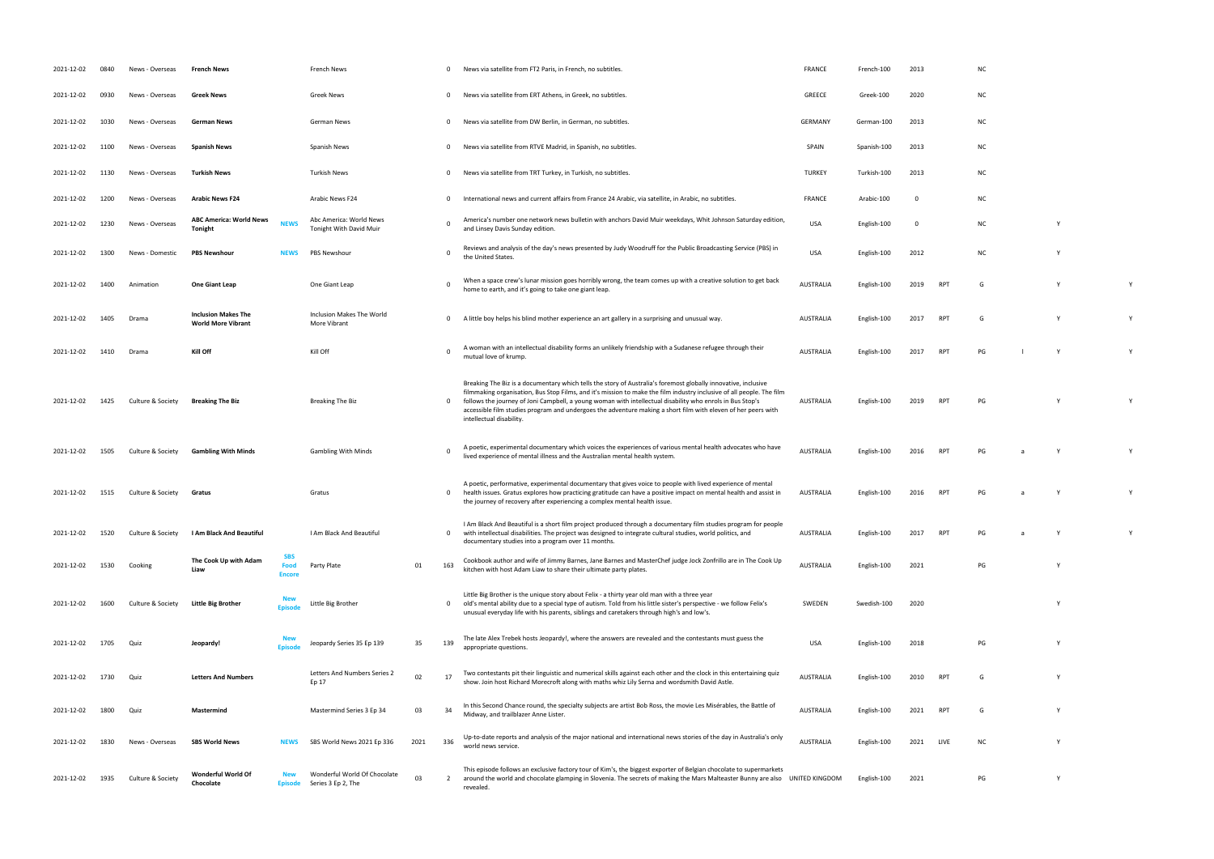| 2021-12-02 | 0840 | News - Overseas   | <b>French News</b>                                      |                                            | French News                                        |      | $^{\circ}$     | News via satellite from FT2 Paris, in French, no subtitles.                                                                                                                                                                                                                                                                                                                                                                                                                                       | <b>FRANCE</b>    | French-100  | 2013 |                 | NC        |   |   |
|------------|------|-------------------|---------------------------------------------------------|--------------------------------------------|----------------------------------------------------|------|----------------|---------------------------------------------------------------------------------------------------------------------------------------------------------------------------------------------------------------------------------------------------------------------------------------------------------------------------------------------------------------------------------------------------------------------------------------------------------------------------------------------------|------------------|-------------|------|-----------------|-----------|---|---|
| 2021-12-02 | 0930 | News - Overseas   | <b>Greek News</b>                                       |                                            | Greek News                                         |      | $\mathbf{0}$   | News via satellite from ERT Athens, in Greek, no subtitles.                                                                                                                                                                                                                                                                                                                                                                                                                                       | GREECE           | Greek-100   | 2020 |                 | ΝC        |   |   |
| 2021-12-02 | 1030 | News - Overseas   | German News                                             |                                            | German News                                        |      | $\mathbf{0}$   | News via satellite from DW Berlin, in German, no subtitles.                                                                                                                                                                                                                                                                                                                                                                                                                                       | <b>GERMANY</b>   | German-100  | 2013 |                 | ΝC        |   |   |
| 2021-12-02 | 1100 | News - Overseas   | <b>Spanish News</b>                                     |                                            | Spanish News                                       |      | $\mathbf{0}$   | News via satellite from RTVE Madrid, in Spanish, no subtitles.                                                                                                                                                                                                                                                                                                                                                                                                                                    | SPAIN            | Spanish-100 | 2013 |                 | ΝC        |   |   |
| 2021-12-02 | 1130 | News - Overseas   | <b>Turkish News</b>                                     |                                            | <b>Turkish News</b>                                |      | $\mathbf{0}$   | News via satellite from TRT Turkey, in Turkish, no subtitles.                                                                                                                                                                                                                                                                                                                                                                                                                                     | <b>TURKEY</b>    | Turkish-100 | 2013 |                 | ΝC        |   |   |
| 2021-12-02 | 1200 | News - Overseas   | <b>Arabic News F24</b>                                  |                                            | Arabic News F24                                    |      | $\mathbf{0}$   | International news and current affairs from France 24 Arabic, via satellite, in Arabic, no subtitles.                                                                                                                                                                                                                                                                                                                                                                                             | <b>FRANCE</b>    | Arabic-100  | - 0  |                 | ΝC        |   |   |
| 2021-12-02 | 1230 | News - Overseas   | <b>ABC America: World News</b><br>Tonight               | <b>NEWS</b>                                | Abc America: World News<br>Tonight With David Muir |      | $\mathbf 0$    | America's number one network news bulletin with anchors David Muir weekdays, Whit Johnson Saturday edition,<br>and Linsey Davis Sunday edition.                                                                                                                                                                                                                                                                                                                                                   | <b>USA</b>       | English-100 | - 0  |                 | ΝC        | Y |   |
| 2021-12-02 | 1300 | News - Domestic   | <b>PBS Newshour</b>                                     | NEWS                                       | <b>PBS Newshour</b>                                |      | $\mathbf 0$    | Reviews and analysis of the day's news presented by Judy Woodruff for the Public Broadcasting Service (PBS) in<br>the United States.                                                                                                                                                                                                                                                                                                                                                              | <b>USA</b>       | English-100 | 2012 |                 | NC        |   |   |
| 2021-12-02 | 1400 | Animation         | One Giant Leap                                          |                                            | One Giant Leap                                     |      | 0              | When a space crew's lunar mission goes horribly wrong, the team comes up with a creative solution to get back<br>home to earth, and it's going to take one giant leap.                                                                                                                                                                                                                                                                                                                            | <b>AUSTRALIA</b> | English-100 | 2019 | RP <sub>1</sub> | G         |   | Y |
| 2021-12-02 | 1405 | Drama             | <b>Inclusion Makes The</b><br><b>World More Vibrant</b> |                                            | Inclusion Makes The World<br>More Vibrant          |      | $\mathbf{0}$   | A little boy helps his blind mother experience an art gallery in a surprising and unusual way.                                                                                                                                                                                                                                                                                                                                                                                                    | <b>AUSTRALIA</b> | English-100 | 2017 | RP <sub>1</sub> | G         | Y | Y |
| 2021-12-02 | 1410 | Drama             | Kill Off                                                |                                            | Kill Off                                           |      | $\mathbf 0$    | A woman with an intellectual disability forms an unlikely friendship with a Sudanese refugee through their<br>mutual love of krump.                                                                                                                                                                                                                                                                                                                                                               | <b>AUSTRALIA</b> | English-100 | 2017 | RP <sub>1</sub> | PG        |   |   |
| 2021-12-02 | 1425 | Culture & Society | <b>Breaking The Biz</b>                                 |                                            | <b>Breaking The Biz</b>                            |      | $\mathbf{0}$   | Breaking The Biz is a documentary which tells the story of Australia's foremost globally innovative, inclusive<br>filmmaking organisation, Bus Stop Films, and it's mission to make the film industry inclusive of all people. The film<br>follows the journey of Joni Campbell, a young woman with intellectual disability who enrols in Bus Stop's<br>accessible film studies program and undergoes the adventure making a short film with eleven of her peers with<br>intellectual disability. | <b>AUSTRALIA</b> | English-100 | 2019 | RP <sub>1</sub> | PG        |   |   |
| 2021-12-02 | 1505 | Culture & Society | <b>Gambling With Minds</b>                              |                                            | <b>Gambling With Minds</b>                         |      | $\Omega$       | A poetic, experimental documentary which voices the experiences of various mental health advocates who have<br>lived experience of mental illness and the Australian mental health system.                                                                                                                                                                                                                                                                                                        | <b>AUSTRALIA</b> | English-100 | 2016 | RP <sub>1</sub> | PG        | Y |   |
| 2021-12-02 | 1515 | Culture & Society | Gratus                                                  |                                            | Gratus                                             |      | $\mathbf{0}$   | A poetic, performative, experimental documentary that gives voice to people with lived experience of mental<br>health issues. Gratus explores how practicing gratitude can have a positive impact on mental health and assist in<br>the journey of recovery after experiencing a complex mental health issue.                                                                                                                                                                                     | <b>AUSTRALIA</b> | English-100 | 2016 | RP <sub>1</sub> | PG        |   |   |
| 2021-12-02 | 1520 | Culture & Society | I Am Black And Beautiful                                |                                            | I Am Black And Beautiful                           |      | $\mathbf{0}$   | I Am Black And Beautiful is a short film project produced through a documentary film studies program for people<br>with intellectual disabilities. The project was designed to integrate cultural studies, world politics, and<br>documentary studies into a program over 11 months.                                                                                                                                                                                                              | <b>AUSTRALIA</b> | English-100 | 2017 | RP <sup></sup>  | PG        | Y |   |
| 2021-12-02 | 1530 | Cooking           | The Cook Up with Adam<br>Liaw                           | <b>SBS</b><br><b>Food</b><br><b>Encore</b> | Party Plate                                        | 01   | 163            | Cookbook author and wife of Jimmy Barnes, Jane Barnes and MasterChef judge Jock Zonfrillo are in The Cook Up<br>kitchen with host Adam Liaw to share their ultimate party plates.                                                                                                                                                                                                                                                                                                                 | <b>AUSTRALIA</b> | English-100 | 2021 |                 | PG        | Y |   |
| 2021-12-02 | 1600 | Culture & Society | Little Big Brother                                      | Episode                                    | Little Big Brother                                 |      | $\mathbf{0}$   | Little Big Brother is the unique story about Felix - a thirty year old man with a three year<br>old's mental ability due to a special type of autism. Told from his little sister's perspective - we follow Felix's<br>unusual everyday life with his parents, siblings and caretakers through high's and low's.                                                                                                                                                                                  | SWEDEN           | Swedish-100 | 2020 |                 |           | Y |   |
| 2021-12-02 | 1705 | Quiz              | Jeopardy!                                               | <b>Episode</b>                             | Jeopardy Series 35 Ep 139                          | 35   | 139            | The late Alex Trebek hosts Jeopardy!, where the answers are revealed and the contestants must guess the<br>appropriate questions.                                                                                                                                                                                                                                                                                                                                                                 | <b>USA</b>       | English-100 | 2018 |                 | PG        | Y |   |
| 2021-12-02 | 1730 | Quiz              | <b>Letters And Numbers</b>                              |                                            | Letters And Numbers Series 2<br>Ep 17              | 02   | 17             | Two contestants pit their linguistic and numerical skills against each other and the clock in this entertaining quiz<br>show. Join host Richard Morecroft along with maths whiz Lily Serna and wordsmith David Astle.                                                                                                                                                                                                                                                                             | <b>AUSTRALIA</b> | English-100 | 2010 | RP <sub>1</sub> | G         | Y |   |
| 2021-12-02 | 1800 | Quiz              | Mastermind                                              |                                            | Mastermind Series 3 Ep 34                          | 03   | 34             | In this Second Chance round, the specialty subjects are artist Bob Ross, the movie Les Misérables, the Battle of<br>Midway, and trailblazer Anne Lister.                                                                                                                                                                                                                                                                                                                                          | <b>AUSTRALIA</b> | English-100 | 2021 | RP <sub>1</sub> | G         |   |   |
| 2021-12-02 | 1830 | News - Overseas   | <b>SBS World News</b>                                   | NEWS                                       | SBS World News 2021 Ep 336                         | 2021 | 336            | Up-to-date reports and analysis of the major national and international news stories of the day in Australia's only<br>world news service.                                                                                                                                                                                                                                                                                                                                                        | <b>AUSTRALIA</b> | English-100 | 2021 | LIVE            | <b>NC</b> | Y |   |
| 2021-12-02 | 1935 | Culture & Society | Wonderful World Of<br>Chocolate                         | <b>Episode</b>                             | Wonderful World Of Chocolate<br>Series 3 Ep 2, The | 03   | $\overline{2}$ | This episode follows an exclusive factory tour of Kim's, the biggest exporter of Belgian chocolate to supermarkets<br>around the world and chocolate glamping in Slovenia. The secrets of making the Mars Malteaster Bunny are also UNITED KINGDOM<br>revealed.                                                                                                                                                                                                                                   |                  | English-100 | 2021 |                 | PG        | Y |   |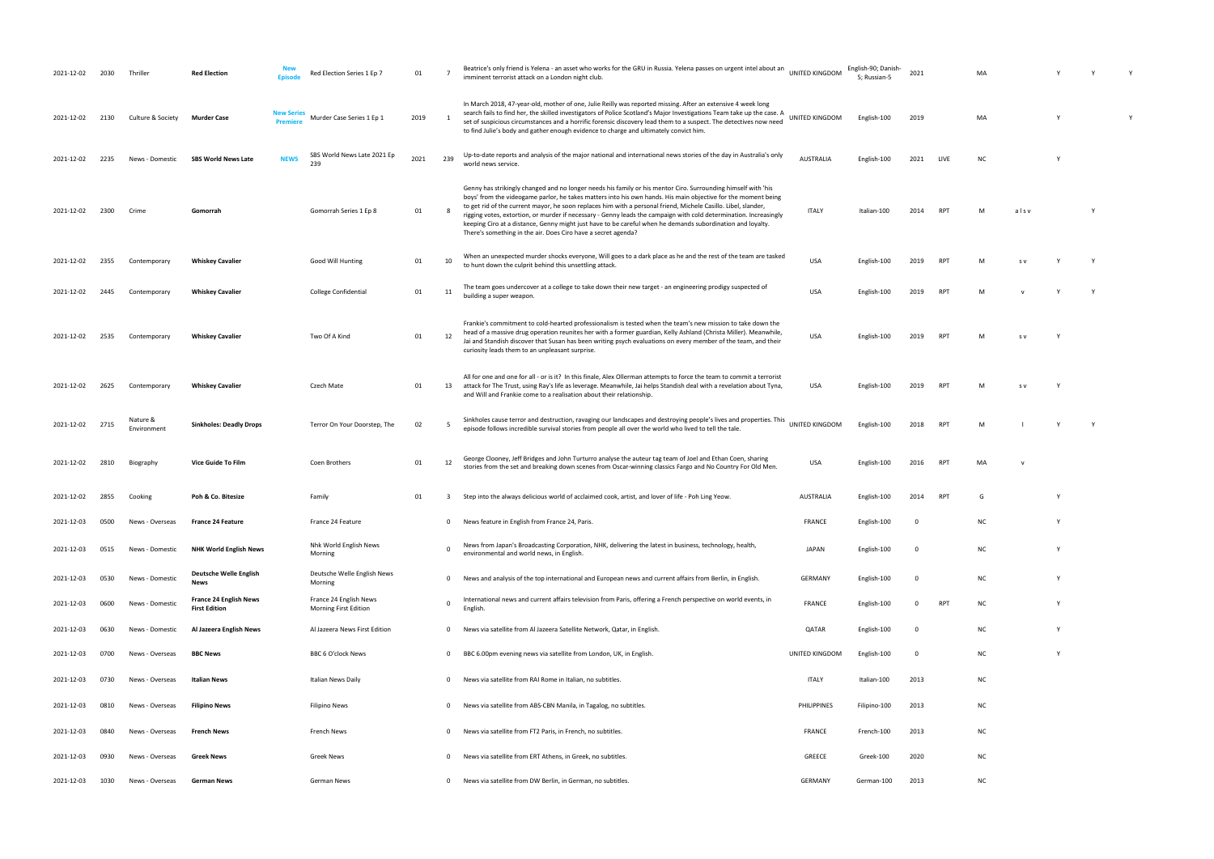| 2021-12-02      | 2030 | Thrillei                | <b>Red Election</b><br>Enicor                         | Red Election Series 1 Ep 7                      | 01   | - 7          | Beatrice's only friend is Yelena - an asset who works for the GRU in Russia. Yelena passes on urgent intel about an UNITED KINGDOM<br>imminent terrorist attack on a London night club.                                                                                                                                                                                                                                                                                                                                                                                                                                                              |                  | English-90; Danish-<br>5; Russian-5 | 2021                    |                 | MA        |      |          |          |  |
|-----------------|------|-------------------------|-------------------------------------------------------|-------------------------------------------------|------|--------------|------------------------------------------------------------------------------------------------------------------------------------------------------------------------------------------------------------------------------------------------------------------------------------------------------------------------------------------------------------------------------------------------------------------------------------------------------------------------------------------------------------------------------------------------------------------------------------------------------------------------------------------------------|------------------|-------------------------------------|-------------------------|-----------------|-----------|------|----------|----------|--|
| 2021-12-02      | 2130 | Culture & Society       | <b>New Series</b><br>Murder Case<br><b>Premiere</b>   | Murder Case Series 1 Ep 1                       | 2019 |              | In March 2018, 47-year-old, mother of one, Julie Reilly was reported missing. After an extensive 4 week long<br>search fails to find her, the skilled investigators of Police Scotland's Major Investigations Team take up the case. A<br>set of suspicious circumstances and a horrific forensic discovery lead them to a suspect. The detectives now need<br>to find Julie's body and gather enough evidence to charge and ultimately convict him.                                                                                                                                                                                                 | UNITED KINGDOM   | English-100                         | 2019                    |                 | МA        |      |          |          |  |
| 2021-12-02      | 2235 | News - Domestic         | <b>NEWS</b><br><b>SBS World News Late</b>             | SBS World News Late 2021 Ep<br>239              | 2021 | 239          | Up-to-date reports and analysis of the major national and international news stories of the day in Australia's only<br>world news service.                                                                                                                                                                                                                                                                                                                                                                                                                                                                                                           | <b>AUSTRALIA</b> | English-100                         | 2021                    | LIVE            | NC        |      |          |          |  |
| 2021-12-02      | 2300 | Crime                   | Gomorrah                                              | Gomorrah Series 1 Ep 8                          | 01   |              | Genny has strikingly changed and no longer needs his family or his mentor Ciro. Surrounding himself with 'his<br>boys' from the videogame parlor, he takes matters into his own hands. His main objective for the moment being<br>to get rid of the current mayor, he soon replaces him with a personal friend, Michele Casillo. Libel, slander,<br>rigging votes, extortion, or murder if necessary - Genny leads the campaign with cold determination. Increasingly<br>keeping Ciro at a distance, Genny might just have to be careful when he demands subordination and loyalty.<br>There's something in the air. Does Ciro have a secret agenda? | <b>ITALY</b>     | Italian-100                         | 2014                    | RPT             | M         | alsv |          | <b>Y</b> |  |
| 2021-12-02      | 2355 | Contemporary            | <b>Whiskey Cavalier</b>                               | Good Will Hunting                               | 01   | 10           | When an unexpected murder shocks everyone, Will goes to a dark place as he and the rest of the team are tasked<br>to hunt down the culprit behind this unsettling attack.                                                                                                                                                                                                                                                                                                                                                                                                                                                                            | <b>USA</b>       | English-100                         | 2019                    | <b>RPT</b>      | M         | S V  |          |          |  |
| 2021-12-02      | 2445 | Contemporary            | <b>Whiskey Cavalier</b>                               | College Confidential                            | 01   | 11           | The team goes undercover at a college to take down their new target - an engineering prodigy suspected of<br>building a super weapon.                                                                                                                                                                                                                                                                                                                                                                                                                                                                                                                | <b>USA</b>       | English-100                         | 2019                    | RPT             | M         |      |          |          |  |
| 2021-12-02      | 2535 | Contemporary            | <b>Whiskey Cavalier</b>                               | Two Of A Kind                                   | 01   | 12           | Frankie's commitment to cold-hearted professionalism is tested when the team's new mission to take down the<br>head of a massive drug operation reunites her with a former guardian, Kelly Ashland (Christa Miller). Meanwhile,<br>Jai and Standish discover that Susan has been writing psych evaluations on every member of the team, and their<br>curiosity leads them to an unpleasant surprise.                                                                                                                                                                                                                                                 | <b>USA</b>       | English-100                         | 2019                    | RPT             |           | S V  |          |          |  |
| 2021-12-02      | 2625 | Contemporary            | <b>Whiskey Cavalier</b>                               | Czech Mate                                      | 01   | 13           | All for one and one for all - or is it? In this finale, Alex Ollerman attempts to force the team to commit a terrorist<br>attack for The Trust, using Ray's life as leverage. Meanwhile, Jai helps Standish deal with a revelation about Tyna,<br>and Will and Frankie come to a realisation about their relationship.                                                                                                                                                                                                                                                                                                                               | USA              | English-100                         | 2019                    | RP <sup>-</sup> |           | S V  |          |          |  |
| 2021-12-02 2715 |      | Nature &<br>Environment | <b>Sinkholes: Deadly Drops</b>                        | Terror On Your Doorstep, The                    | 02   | -5           | Sinkholes cause terror and destruction, ravaging our landscapes and destroying people's lives and properties. This<br>episode follows incredible survival stories from people all over the world who lived to tell the tale.                                                                                                                                                                                                                                                                                                                                                                                                                         | UNITED KINGDOM   | English-100                         | 2018                    | RPT             | M         |      |          |          |  |
| 2021-12-02      | 2810 | Biography               | <b>Vice Guide To Film</b>                             | Coen Brothers                                   | 01   | 12           | George Clooney, Jeff Bridges and John Turturro analyse the auteur tag team of Joel and Ethan Coen, sharing<br>stories from the set and breaking down scenes from Oscar-winning classics Fargo and No Country For Old Men.                                                                                                                                                                                                                                                                                                                                                                                                                            | <b>USA</b>       | English-100                         | 2016                    | RP <sup>-</sup> | MA        |      |          |          |  |
| 2021-12-02      | 2855 | Cooking                 | Poh & Co. Bitesize                                    | Family                                          | 01   | 3            | Step into the always delicious world of acclaimed cook, artist, and lover of life - Poh Ling Yeow.                                                                                                                                                                                                                                                                                                                                                                                                                                                                                                                                                   | <b>AUSTRALIA</b> | English-100                         | 2014                    | RPT             | G         |      |          |          |  |
| 2021-12-03      | 0500 | News - Overseas         | <b>France 24 Feature</b>                              | France 24 Feature                               |      | $^{\circ}$   | News feature in English from France 24, Paris.                                                                                                                                                                                                                                                                                                                                                                                                                                                                                                                                                                                                       | <b>FRANCE</b>    | English-100                         | $\overline{\mathbf{0}}$ |                 | <b>NC</b> |      | <b>V</b> |          |  |
| 2021-12-03      | 0515 | News - Domestic         | <b>NHK World English News</b>                         | Nhk World English News<br>Morning               |      | 0            | News from Japan's Broadcasting Corporation, NHK, delivering the latest in business, technology, health,<br>environmental and world news, in English.                                                                                                                                                                                                                                                                                                                                                                                                                                                                                                 | <b>JAPAN</b>     | English-100                         | $\overline{\mathbf{0}}$ |                 | <b>NC</b> |      |          |          |  |
| 2021-12-03      | 0530 | News - Domestic         | <b>Deutsche Welle English</b><br><b>News</b>          | Deutsche Welle English News<br>Morning          |      | $\mathbf 0$  | News and analysis of the top international and European news and current affairs from Berlin, in English.                                                                                                                                                                                                                                                                                                                                                                                                                                                                                                                                            | <b>GERMANY</b>   | English-100                         | $\mathbf 0$             |                 | <b>NC</b> |      |          |          |  |
| 2021-12-03      | 0600 | News - Domestic         | <b>France 24 English News</b><br><b>First Edition</b> | France 24 English News<br>Morning First Edition |      | 0            | International news and current affairs television from Paris, offering a French perspective on world events, in<br>English.                                                                                                                                                                                                                                                                                                                                                                                                                                                                                                                          | <b>FRANCE</b>    | English-100                         | $\mathbf 0$             | <b>RPT</b>      | ΝC        |      |          |          |  |
| 2021-12-03      | 0630 | News - Domestic         | Al Jazeera English News                               | Al Jazeera News First Edition                   |      | $^{\circ}$   | News via satellite from Al Jazeera Satellite Network, Qatar, in English.                                                                                                                                                                                                                                                                                                                                                                                                                                                                                                                                                                             | QATAR            | English-100                         | $\overline{\mathbf{0}}$ |                 | ΝC        |      | Y        |          |  |
| 2021-12-03      | 0700 | News - Overseas         | <b>BBC News</b>                                       | BBC 6 O'clock News                              |      | $\mathbf 0$  | BBC 6.00pm evening news via satellite from London, UK, in English.                                                                                                                                                                                                                                                                                                                                                                                                                                                                                                                                                                                   | UNITED KINGDOM   | English-100                         | $\overline{\mathbf{0}}$ |                 | NC        |      | v        |          |  |
| 2021-12-03      | 0730 | News - Overseas         | <b>Italian News</b>                                   | Italian News Daily                              |      | $\mathbf 0$  | News via satellite from RAI Rome in Italian, no subtitles.                                                                                                                                                                                                                                                                                                                                                                                                                                                                                                                                                                                           | <b>ITALY</b>     | Italian-100                         | 2013                    |                 | NC        |      |          |          |  |
| 2021-12-03      | 0810 | News - Overseas         | Filipino News                                         | Filipino News                                   |      | $\mathbf 0$  | News via satellite from ABS-CBN Manila, in Tagalog, no subtitles.                                                                                                                                                                                                                                                                                                                                                                                                                                                                                                                                                                                    | PHILIPPINES      | Filipino-100                        | 2013                    |                 | NC        |      |          |          |  |
| 2021-12-03      | 0840 | News - Overseas         | <b>French News</b>                                    | French News                                     |      | $\mathbf 0$  | News via satellite from FT2 Paris, in French, no subtitles.                                                                                                                                                                                                                                                                                                                                                                                                                                                                                                                                                                                          | FRANCE           | French-100                          | 2013                    |                 | NC        |      |          |          |  |
| 2021-12-03      | 0930 | News - Overseas         | <b>Greek News</b>                                     | Greek News                                      |      | $^{\circ}$   | News via satellite from ERT Athens, in Greek, no subtitles.                                                                                                                                                                                                                                                                                                                                                                                                                                                                                                                                                                                          | <b>GREECE</b>    | Greek-100                           | 2020                    |                 | <b>NC</b> |      |          |          |  |
| 2021-12-03      | 1030 | News - Overseas         | <b>German News</b>                                    | German News                                     |      | $\mathbf{0}$ | News via satellite from DW Berlin, in German, no subtitles.                                                                                                                                                                                                                                                                                                                                                                                                                                                                                                                                                                                          | <b>GERMANY</b>   | German-100                          | 2013                    |                 | NC        |      |          |          |  |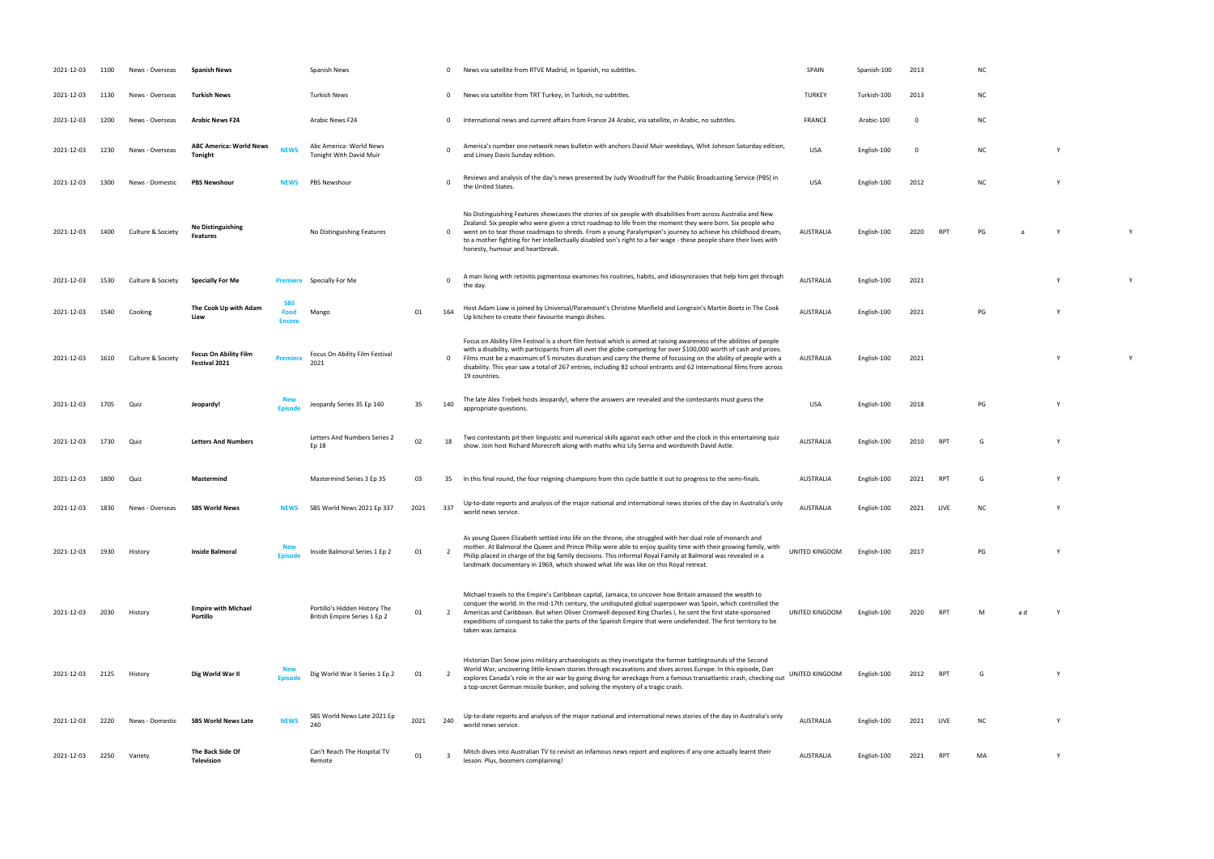| 2021-12-03 | 1100 | News - Overseas   | <b>Spanish News</b>                              |                                     | Spanish News                                                  |      | 0              | News via satellite from RTVE Madrid, in Spanish, no subtitles.                                                                                                                                                                                                                                                                                                                                                                                                                                            | SPAIN            | Spanish-100 | 2013 |             | ΝC        |     |              |  |
|------------|------|-------------------|--------------------------------------------------|-------------------------------------|---------------------------------------------------------------|------|----------------|-----------------------------------------------------------------------------------------------------------------------------------------------------------------------------------------------------------------------------------------------------------------------------------------------------------------------------------------------------------------------------------------------------------------------------------------------------------------------------------------------------------|------------------|-------------|------|-------------|-----------|-----|--------------|--|
| 2021-12-03 | 1130 | News - Overseas   | Turkish News                                     |                                     | <b>Turkish News</b>                                           |      | $\mathbf{0}$   | News via satellite from TRT Turkey, in Turkish, no subtitles.                                                                                                                                                                                                                                                                                                                                                                                                                                             | <b>TURKEY</b>    | Turkish-100 | 2013 |             | ΝC        |     |              |  |
| 2021-12-03 | 1200 | News - Overseas   | <b>Arabic News F24</b>                           |                                     | Arabic News F24                                               |      | $\mathbf{0}$   | International news and current affairs from France 24 Arabic, via satellite, in Arabic, no subtitles.                                                                                                                                                                                                                                                                                                                                                                                                     | <b>FRANCE</b>    | Arabic-100  | 0    |             | ΝC        |     |              |  |
| 2021-12-03 | 1230 | News - Overseas   | <b>ABC America: World News</b><br><b>Tonight</b> | <b>NEWS</b>                         | Abc America: World News<br>Tonight With David Muir            |      | $\Omega$       | America's number one network news bulletin with anchors David Muir weekdays, Whit Johnson Saturday edition,<br>and Linsey Davis Sunday edition.                                                                                                                                                                                                                                                                                                                                                           | <b>USA</b>       | English-100 | 0    |             | ΝC        |     | $\mathsf{Y}$ |  |
| 2021-12-03 | 1300 | News - Domestic   | <b>PBS Newshour</b>                              | NEWS                                | PBS Newshour                                                  |      | $\Omega$       | Reviews and analysis of the day's news presented by Judy Woodruff for the Public Broadcasting Service (PBS) in<br>the United States.                                                                                                                                                                                                                                                                                                                                                                      | <b>USA</b>       | English-100 | 2012 |             | <b>NC</b> |     | $\mathbf{v}$ |  |
| 2021-12-03 | 1400 | Culture & Society | <b>No Distinguishing</b><br><b>Features</b>      |                                     | No Distinguishing Features                                    |      | $\mathbf{0}$   | No Distinguishing Features showcases the stories of six people with disabilities from across Australia and New<br>Zealand. Six people who were given a strict roadmap to life from the moment they were born. Six people who<br>went on to tear those roadmaps to shreds. From a young Paralympian's journey to achieve his childhood dream,<br>to a mother fighting for her intellectually disabled son's right to a fair wage - these people share their lives with<br>honesty, humour and heartbreak.  | <b>AUSTRALIA</b> | English-100 | 2020 | RP1         | PG        |     |              |  |
| 2021-12-03 | 1530 | Culture & Society | <b>Specially For Me</b>                          |                                     | <b>Premiere</b> Specially For Me                              |      | $\Omega$       | A man living with retinitis pigmentosa examines his routines, habits, and idiosyncrasies that help him get through<br>the day.                                                                                                                                                                                                                                                                                                                                                                            | <b>AUSTRALIA</b> | English-100 | 2021 |             |           |     |              |  |
| 2021-12-03 | 1540 | Cooking           | The Cook Up with Adam<br>Liaw                    | <b>SBS</b><br>Food<br><b>Encore</b> | Mango                                                         | 01   | 164            | Host Adam Liaw is joined by Universal/Paramount's Christine Manfield and Longrain's Martin Boetz in The Cook<br>Up kitchen to create their favourite mango dishes.                                                                                                                                                                                                                                                                                                                                        | <b>AUSTRALIA</b> | English-100 | 2021 |             | PG        |     | $\mathsf{Y}$ |  |
| 2021-12-03 | 1610 | Culture & Society | <b>Focus On Ability Film</b><br>Festival 2021    | <b>Premiere</b>                     | Focus On Ability Film Festival<br>2021                        |      | $\mathbf{0}$   | Focus on Ability Film Festival is a short film festival which is aimed at raising awareness of the abilities of people<br>with a disability, with participants from all over the globe competing for over \$100,000 worth of cash and prizes.<br>Films must be a maximum of 5 minutes duration and carry the theme of focussing on the ability of people with a<br>disability. This year saw a total of 267 entries, including 82 school entrants and 62 International films from across<br>19 countries. | AUSTRALIA        | English-100 | 2021 |             |           |     | Y            |  |
| 2021-12-03 | 1705 | Quiz              | Jeopardy!                                        | <b>Episode</b>                      | Jeopardy Series 35 Ep 140                                     | 35   | 140            | The late Alex Trebek hosts Jeopardy!, where the answers are revealed and the contestants must guess the<br>appropriate questions.                                                                                                                                                                                                                                                                                                                                                                         | <b>USA</b>       | English-100 | 2018 |             | PG        |     | $\mathsf{Y}$ |  |
| 2021-12-03 | 1730 | Quiz              | <b>Letters And Numbers</b>                       |                                     | Letters And Numbers Series 2<br>Ep 18                         | 02   | 18             | Two contestants pit their linguistic and numerical skills against each other and the clock in this entertaining quiz<br>show. Join host Richard Morecroft along with maths whiz Lily Serna and wordsmith David Astle.                                                                                                                                                                                                                                                                                     | <b>AUSTRALIA</b> | English-100 | 2010 | <b>RPT</b>  | G         |     | <b>Y</b>     |  |
| 2021-12-03 | 1800 | Quiz              | Mastermind                                       |                                     | Mastermind Series 3 Ep 35                                     | 03   | 35             | In this final round, the four reigning champions from this cycle battle it out to progress to the semi-finals.                                                                                                                                                                                                                                                                                                                                                                                            | AUSTRALIA        | English-100 | 2021 | RP1         | G         |     |              |  |
| 2021-12-03 | 1830 | News - Overseas   | <b>SBS World News</b>                            | <b>NEWS</b>                         | SBS World News 2021 Ep 337                                    | 2021 | 337            | Up-to-date reports and analysis of the major national and international news stories of the day in Australia's only<br>world news service.                                                                                                                                                                                                                                                                                                                                                                | <b>AUSTRALIA</b> | English-100 | 2021 | LIVE        | ΝC        |     | <b>Y</b>     |  |
| 2021-12-03 | 1930 | History           | Inside Balmoral                                  | Episode                             | Inside Balmoral Series 1 Ep 2                                 | 01   | $\overline{2}$ | As young Queen Elizabeth settled into life on the throne, she struggled with her dual role of monarch and<br>mother. At Balmoral the Queen and Prince Philip were able to enjoy quality time with their growing family, with<br>Philip placed in charge of the big family decisions. This informal Royal Family at Balmoral was revealed in a<br>landmark documentary in 1969, which showed what life was like on this Royal retreat.                                                                     | UNITED KINGDOM   | English-100 | 2017 |             | PG        |     | Y            |  |
| 2021-12-03 | 2030 | History           | <b>Empire with Michael</b><br>Portillo           |                                     | Portillo's Hidden History The<br>British Empire Series 1 Ep 2 | 01   | 2              | Michael travels to the Empire's Caribbean capital, Jamaica, to uncover how Britain amassed the wealth to<br>conquer the world. In the mid-17th century, the undisputed global superpower was Spain, which controlled the<br>Americas and Caribbean. But when Oliver Cromwell deposed King Charles I, he sent the first state-sponsored<br>expeditions of conquest to take the parts of the Spanish Empire that were undefended. The first territory to be<br>taken was Jamaica.                           | UNITED KINGDOM   | English-100 | 2020 | RP1         | м         | a d |              |  |
| 2021-12-03 | 2125 | History           | Dig World War II                                 | <b>New</b><br>Episode               | Dig World War II Series 1 Ep 2                                | 01   | $\overline{2}$ | Historian Dan Snow joins military archaeologists as they investigate the former battlegrounds of the Second<br>World War, uncovering little-known stories through excavations and dives across Europe. In this episode, Dan<br>explores Canada's role in the air war by going diving for wreckage from a famous transatlantic crash, checking out<br>a top-secret German missile bunker, and solving the mystery of a tragic crash.                                                                       | UNITED KINGDOM   | English-100 | 2012 | RP1         |           |     |              |  |
| 2021-12-03 | 2220 | News - Domestic   | <b>SBS World News Late</b>                       | <b>NEWS</b>                         | SBS World News Late 2021 Ep<br>240                            | 2021 | 240            | Up-to-date reports and analysis of the major national and international news stories of the day in Australia's only<br>world news service.                                                                                                                                                                                                                                                                                                                                                                | <b>AUSTRALIA</b> | English-100 | 2021 | <b>LIVE</b> | <b>NC</b> |     |              |  |
| 2021-12-03 | 2250 | Variety           | The Back Side Of<br>Television                   |                                     | Can't Reach The Hospital TV<br>Remote                         | 01   | -3             | Mitch dives into Australian TV to revisit an infamous news report and explores if any one actually learnt their<br>lesson. Plus, boomers complaining!                                                                                                                                                                                                                                                                                                                                                     | AUSTRALIA        | English-100 | 2021 | RP1         | MA        |     | Y            |  |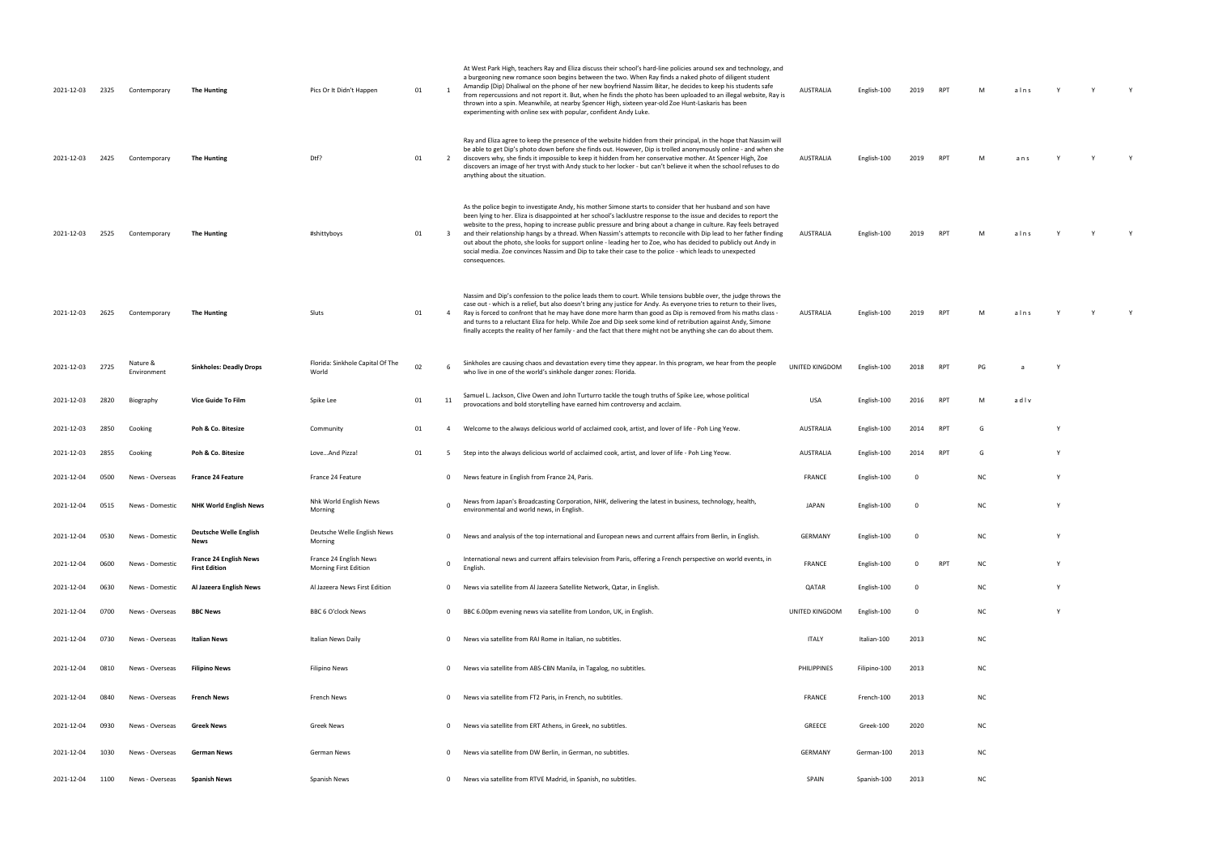| 2021-12-03 | 2325 | Contemporary            | <b>The Hunting</b>                             | Pics Or It Didn't Happen                        | 01 | $\overline{\phantom{a}}$ | At West Park High, teachers Ray and Eliza discuss their school's hard-line policies around sex and technology, and<br>a burgeoning new romance soon begins between the two. When Ray finds a naked photo of diligent student<br>Amandip (Dip) Dhaliwal on the phone of her new boyfriend Nassim Bitar, he decides to keep his students safe<br>from repercussions and not report it. But, when he finds the photo has been uploaded to an illegal website, Ray is<br>thrown into a spin. Meanwhile, at nearby Spencer High, sixteen year-old Zoe Hunt-Laskaris has been<br>experimenting with online sex with popular, confident Andy Luke.                                                                                | AUSTRALIA      | English-100  | 2019        | <b>RPT</b> |           | alns |   |  |
|------------|------|-------------------------|------------------------------------------------|-------------------------------------------------|----|--------------------------|----------------------------------------------------------------------------------------------------------------------------------------------------------------------------------------------------------------------------------------------------------------------------------------------------------------------------------------------------------------------------------------------------------------------------------------------------------------------------------------------------------------------------------------------------------------------------------------------------------------------------------------------------------------------------------------------------------------------------|----------------|--------------|-------------|------------|-----------|------|---|--|
| 2021-12-03 | 2425 | Contemporary            | <b>The Hunting</b>                             | Dtf?                                            | 01 | $\overline{2}$           | Ray and Eliza agree to keep the presence of the website hidden from their principal, in the hope that Nassim will<br>be able to get Dip's photo down before she finds out. However, Dip is trolled anonymously online - and when she<br>discovers why, she finds it impossible to keep it hidden from her conservative mother. At Spencer High, Zoe<br>discovers an image of her tryst with Andy stuck to her locker - but can't believe it when the school refuses to do<br>anything about the situation.                                                                                                                                                                                                                 | AUSTRALIA      | English-100  | 2019        | <b>RPT</b> |           | ans  |   |  |
| 2021-12-03 | 2525 | Contemporary            | <b>The Hunting</b>                             | #shittyboys                                     | 01 | $\overline{\mathbf{3}}$  | As the police begin to investigate Andy, his mother Simone starts to consider that her husband and son have<br>been lying to her. Eliza is disappointed at her school's lacklustre response to the issue and decides to report the<br>website to the press, hoping to increase public pressure and bring about a change in culture. Ray feels betrayed<br>and their relationship hangs by a thread. When Nassim's attempts to reconcile with Dip lead to her father finding<br>out about the photo, she looks for support online - leading her to Zoe, who has decided to publicly out Andy in<br>social media. Zoe convinces Nassim and Dip to take their case to the police - which leads to unexpected<br>consequences. | AUSTRALIA      | English-100  | 2019        | <b>RPT</b> | M         | alns |   |  |
| 2021-12-03 | 2625 | Contemporary            | <b>The Hunting</b>                             | Sluts                                           | 01 | $\overline{4}$           | Nassim and Dip's confession to the police leads them to court. While tensions bubble over, the judge throws the<br>case out - which is a relief, but also doesn't bring any justice for Andy. As everyone tries to return to their lives,<br>Ray is forced to confront that he may have done more harm than good as Dip is removed from his maths class -<br>and turns to a reluctant Eliza for help. While Zoe and Dip seek some kind of retribution against Andy, Simone<br>finally accepts the reality of her family - and the fact that there might not be anything she can do about them.                                                                                                                             | AUSTRALIA      | English-100  | 2019        | <b>RPT</b> |           | alns |   |  |
| 2021-12-03 | 2725 | Nature &<br>Environment | <b>Sinkholes: Deadly Drops</b>                 | Florida: Sinkhole Capital Of The<br>World       | 02 |                          | Sinkholes are causing chaos and devastation every time they appear. In this program, we hear from the people<br>who live in one of the world's sinkhole danger zones: Florida.                                                                                                                                                                                                                                                                                                                                                                                                                                                                                                                                             | UNITED KINGDOM | English-100  | 2018        | <b>RPT</b> | PG.       |      |   |  |
| 2021-12-03 | 2820 | Biography               | Vice Guide To Film                             | Spike Lee                                       | 01 | 11                       | Samuel L. Jackson, Clive Owen and John Turturro tackle the tough truths of Spike Lee, whose political<br>provocations and bold storytelling have earned him controversy and acclaim.                                                                                                                                                                                                                                                                                                                                                                                                                                                                                                                                       | <b>USA</b>     | English-100  | 2016        | <b>RPT</b> | M         | adlv |   |  |
| 2021-12-03 | 2850 | Cooking                 | Poh & Co. Bitesize                             | Community                                       | 01 | 4                        | Welcome to the always delicious world of acclaimed cook, artist, and lover of life - Poh Ling Yeow.                                                                                                                                                                                                                                                                                                                                                                                                                                                                                                                                                                                                                        | AUSTRALIA      | English-100  | 2014        | RPT        | G         |      |   |  |
| 2021-12-03 | 2855 | Cooking                 | Poh & Co. Bitesize                             | LoveAnd Pizza!                                  | 01 | 5                        | Step into the always delicious world of acclaimed cook, artist, and lover of life - Poh Ling Yeow.                                                                                                                                                                                                                                                                                                                                                                                                                                                                                                                                                                                                                         | AUSTRALIA      | English-100  | 2014        | <b>RPT</b> | G         |      |   |  |
| 2021-12-04 | 0500 | News - Overseas         | <b>France 24 Feature</b>                       | France 24 Feature                               |    | $\mathbf{0}$             | News feature in English from France 24, Paris.                                                                                                                                                                                                                                                                                                                                                                                                                                                                                                                                                                                                                                                                             | FRANCE         | English-100  |             |            | <b>NC</b> |      |   |  |
| 2021-12-04 | 0515 | News - Domestic         | <b>NHK World English News</b>                  | Nhk World English News<br>Morning               |    | $\Omega$                 | News from Japan's Broadcasting Corporation, NHK, delivering the latest in business, technology, health,<br>environmental and world news, in English.                                                                                                                                                                                                                                                                                                                                                                                                                                                                                                                                                                       | <b>JAPAN</b>   | English-100  |             |            | <b>NC</b> |      |   |  |
| 2021-12-04 | 0530 | News - Domestic         | Deutsche Welle English<br>News                 | Deutsche Welle English News<br>Morning          |    | $\mathbf{0}$             | News and analysis of the top international and European news and current affairs from Berlin, in English                                                                                                                                                                                                                                                                                                                                                                                                                                                                                                                                                                                                                   | GERMANY        | English-100  | - 0         |            | NC        |      | Y |  |
| 2021-12-04 | 0600 | News - Domestic         | France 24 English News<br><b>First Edition</b> | France 24 English News<br>Morning First Edition |    | $\mathbf 0$              | International news and current affairs television from Paris, offering a French perspective on world events, in<br>English                                                                                                                                                                                                                                                                                                                                                                                                                                                                                                                                                                                                 | <b>FRANCE</b>  | English-100  | $^{\circ}$  | <b>RPT</b> | NC        |      | Y |  |
| 2021-12-04 | 0630 | News - Domestic         | Al Jazeera English News                        | Al Jazeera News First Edition                   |    | $\mathbf{0}$             | News via satellite from Al Jazeera Satellite Network, Qatar, in English.                                                                                                                                                                                                                                                                                                                                                                                                                                                                                                                                                                                                                                                   | QATAR          | English-100  | $\mathbf 0$ |            | NC        |      |   |  |
| 2021-12-04 | 0700 | News - Overseas         | <b>BBC News</b>                                | <b>BBC 6 O'clock News</b>                       |    | $\mathbf{0}$             | BBC 6.00pm evening news via satellite from London, UK, in English.                                                                                                                                                                                                                                                                                                                                                                                                                                                                                                                                                                                                                                                         | UNITED KINGDOM | English-100  | $\Omega$    |            | <b>NC</b> |      |   |  |
| 2021-12-04 | 0730 | News - Overseas         | Italian News                                   | Italian News Daily                              |    | $\mathbf{0}$             | News via satellite from RAI Rome in Italian, no subtitles.                                                                                                                                                                                                                                                                                                                                                                                                                                                                                                                                                                                                                                                                 | ITALY          | Italian-100  | 2013        |            | NC        |      |   |  |
| 2021-12-04 | 0810 | News - Overseas         | <b>Filipino News</b>                           | Filipino News                                   |    | $\mathbf 0$              | News via satellite from ABS-CBN Manila, in Tagalog, no subtitles.                                                                                                                                                                                                                                                                                                                                                                                                                                                                                                                                                                                                                                                          | PHILIPPINES    | Filipino-100 | 2013        |            | NC        |      |   |  |
| 2021-12-04 | 0840 | News - Overseas         | <b>French News</b>                             | French News                                     |    | $\Omega$                 | News via satellite from FT2 Paris, in French, no subtitles.                                                                                                                                                                                                                                                                                                                                                                                                                                                                                                                                                                                                                                                                | <b>FRANCE</b>  | French-100   | 2013        |            | NC        |      |   |  |
| 2021-12-04 | 0930 | News - Overseas         | <b>Greek News</b>                              | Greek News                                      |    | $\Omega$                 | News via satellite from ERT Athens, in Greek, no subtitles.                                                                                                                                                                                                                                                                                                                                                                                                                                                                                                                                                                                                                                                                | GREECE         | Greek-100    | 2020        |            | NC        |      |   |  |
| 2021-12-04 | 1030 | News - Overseas         | <b>German News</b>                             | German News                                     |    | 0                        | News via satellite from DW Berlin, in German, no subtitles.                                                                                                                                                                                                                                                                                                                                                                                                                                                                                                                                                                                                                                                                | GERMANY        | German-100   | 2013        |            | NC        |      |   |  |
| 2021-12-04 | 1100 | News - Overseas         | <b>Spanish News</b>                            | Spanish News                                    |    | $\mathbf{0}$             | News via satellite from RTVE Madrid, in Spanish, no subtitles.                                                                                                                                                                                                                                                                                                                                                                                                                                                                                                                                                                                                                                                             | SPAIN          | Spanish-100  | 2013        |            | <b>NC</b> |      |   |  |